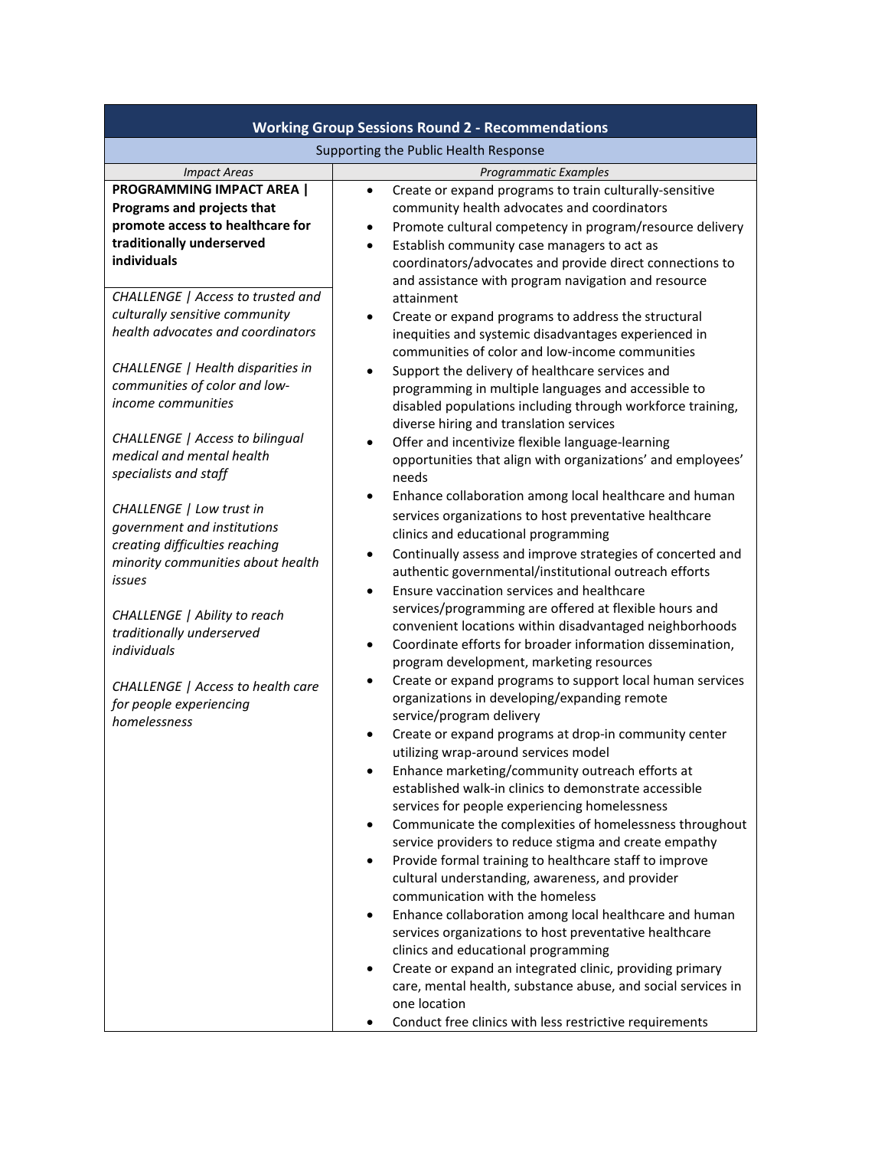| <b>Working Group Sessions Round 2 - Recommendations</b>                                                                                        |                                                                                                                                                                                                                                                                                                                                                                |  |
|------------------------------------------------------------------------------------------------------------------------------------------------|----------------------------------------------------------------------------------------------------------------------------------------------------------------------------------------------------------------------------------------------------------------------------------------------------------------------------------------------------------------|--|
| Supporting the Public Health Response                                                                                                          |                                                                                                                                                                                                                                                                                                                                                                |  |
| <b>Impact Areas</b>                                                                                                                            | Programmatic Examples                                                                                                                                                                                                                                                                                                                                          |  |
| <b>PROGRAMMING IMPACT AREA  </b><br>Programs and projects that<br>promote access to healthcare for<br>traditionally underserved<br>individuals | Create or expand programs to train culturally-sensitive<br>$\bullet$<br>community health advocates and coordinators<br>Promote cultural competency in program/resource delivery<br>Establish community case managers to act as<br>$\bullet$<br>coordinators/advocates and provide direct connections to<br>and assistance with program navigation and resource |  |
| CHALLENGE   Access to trusted and<br>culturally sensitive community<br>health advocates and coordinators<br>CHALLENGE   Health disparities in  | attainment<br>Create or expand programs to address the structural<br>٠<br>inequities and systemic disadvantages experienced in<br>communities of color and low-income communities<br>Support the delivery of healthcare services and<br>$\bullet$                                                                                                              |  |
| communities of color and low-<br>income communities<br><b>CHALLENGE</b>   Access to bilingual                                                  | programming in multiple languages and accessible to<br>disabled populations including through workforce training,<br>diverse hiring and translation services<br>Offer and incentivize flexible language-learning<br>$\bullet$                                                                                                                                  |  |
| medical and mental health<br>specialists and staff<br>CHALLENGE   Low trust in                                                                 | opportunities that align with organizations' and employees'<br>needs<br>Enhance collaboration among local healthcare and human<br>$\bullet$<br>services organizations to host preventative healthcare                                                                                                                                                          |  |
| government and institutions<br>creating difficulties reaching<br>minority communities about health<br>issues                                   | clinics and educational programming<br>Continually assess and improve strategies of concerted and<br>٠<br>authentic governmental/institutional outreach efforts<br>Ensure vaccination services and healthcare<br>$\bullet$                                                                                                                                     |  |
| CHALLENGE   Ability to reach<br>traditionally underserved<br>individuals                                                                       | services/programming are offered at flexible hours and<br>convenient locations within disadvantaged neighborhoods<br>Coordinate efforts for broader information dissemination,<br>$\bullet$<br>program development, marketing resources                                                                                                                        |  |
| CHALLENGE   Access to health care<br>for people experiencing<br>homelessness                                                                   | Create or expand programs to support local human services<br>organizations in developing/expanding remote<br>service/program delivery<br>Create or expand programs at drop-in community center                                                                                                                                                                 |  |
|                                                                                                                                                | utilizing wrap-around services model<br>Enhance marketing/community outreach efforts at<br>$\bullet$<br>established walk-in clinics to demonstrate accessible<br>services for people experiencing homelessness                                                                                                                                                 |  |
|                                                                                                                                                | Communicate the complexities of homelessness throughout<br>٠<br>service providers to reduce stigma and create empathy<br>Provide formal training to healthcare staff to improve<br>cultural understanding, awareness, and provider<br>communication with the homeless                                                                                          |  |
|                                                                                                                                                | Enhance collaboration among local healthcare and human<br>٠<br>services organizations to host preventative healthcare<br>clinics and educational programming<br>Create or expand an integrated clinic, providing primary<br>٠<br>care, mental health, substance abuse, and social services in                                                                  |  |
|                                                                                                                                                | one location<br>Conduct free clinics with less restrictive requirements                                                                                                                                                                                                                                                                                        |  |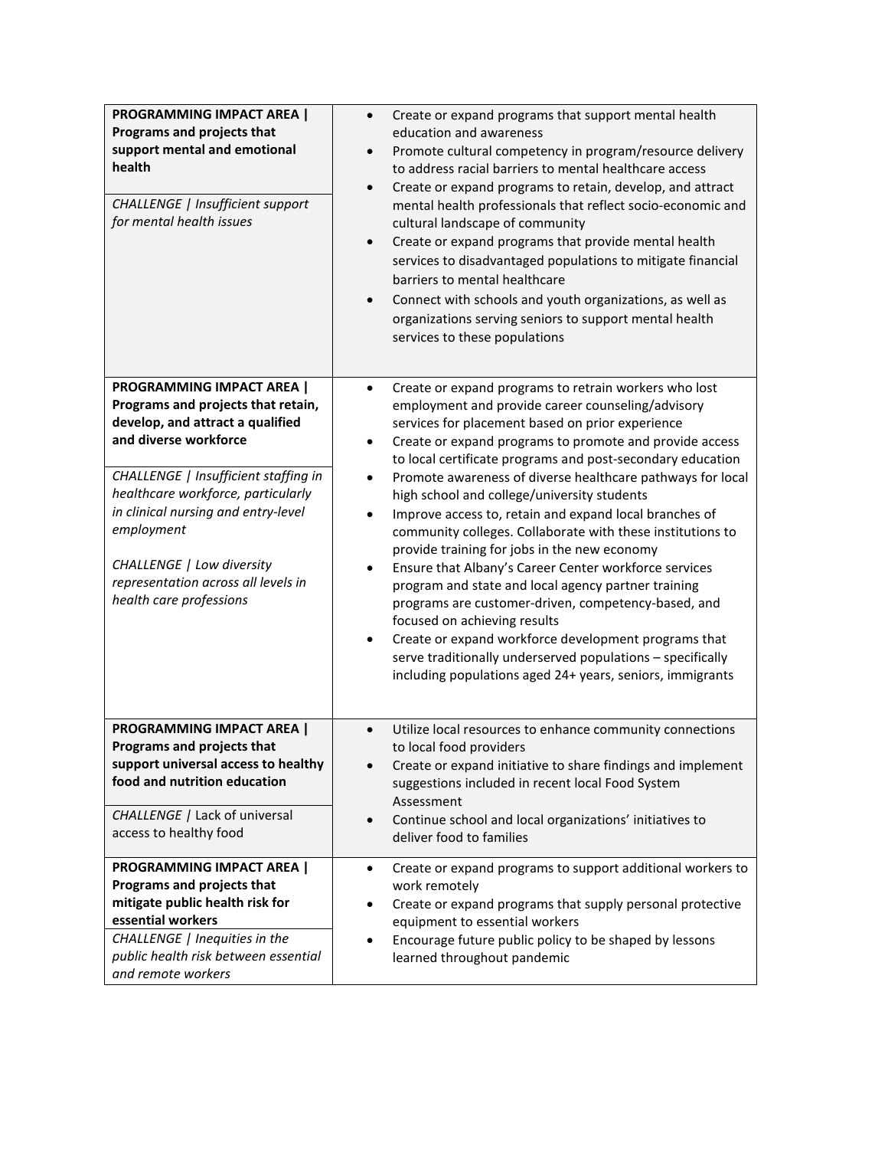| <b>PROGRAMMING IMPACT AREA  </b><br>Programs and projects that<br>support mental and emotional<br>health<br>CHALLENGE   Insufficient support<br>for mental health issues                                                                                                                                                                                       | Create or expand programs that support mental health<br>$\bullet$<br>education and awareness<br>Promote cultural competency in program/resource delivery<br>$\bullet$<br>to address racial barriers to mental healthcare access<br>Create or expand programs to retain, develop, and attract<br>$\bullet$<br>mental health professionals that reflect socio-economic and<br>cultural landscape of community<br>Create or expand programs that provide mental health<br>$\bullet$<br>services to disadvantaged populations to mitigate financial<br>barriers to mental healthcare<br>Connect with schools and youth organizations, as well as<br>$\bullet$<br>organizations serving seniors to support mental health<br>services to these populations                                                                                                                                                                                                                                                                                         |
|----------------------------------------------------------------------------------------------------------------------------------------------------------------------------------------------------------------------------------------------------------------------------------------------------------------------------------------------------------------|----------------------------------------------------------------------------------------------------------------------------------------------------------------------------------------------------------------------------------------------------------------------------------------------------------------------------------------------------------------------------------------------------------------------------------------------------------------------------------------------------------------------------------------------------------------------------------------------------------------------------------------------------------------------------------------------------------------------------------------------------------------------------------------------------------------------------------------------------------------------------------------------------------------------------------------------------------------------------------------------------------------------------------------------|
| PROGRAMMING IMPACT AREA  <br>Programs and projects that retain,<br>develop, and attract a qualified<br>and diverse workforce<br>CHALLENGE   Insufficient staffing in<br>healthcare workforce, particularly<br>in clinical nursing and entry-level<br>employment<br>CHALLENGE   Low diversity<br>representation across all levels in<br>health care professions | Create or expand programs to retrain workers who lost<br>$\bullet$<br>employment and provide career counseling/advisory<br>services for placement based on prior experience<br>Create or expand programs to promote and provide access<br>٠<br>to local certificate programs and post-secondary education<br>Promote awareness of diverse healthcare pathways for local<br>$\bullet$<br>high school and college/university students<br>Improve access to, retain and expand local branches of<br>$\bullet$<br>community colleges. Collaborate with these institutions to<br>provide training for jobs in the new economy<br>Ensure that Albany's Career Center workforce services<br>$\bullet$<br>program and state and local agency partner training<br>programs are customer-driven, competency-based, and<br>focused on achieving results<br>Create or expand workforce development programs that<br>$\bullet$<br>serve traditionally underserved populations - specifically<br>including populations aged 24+ years, seniors, immigrants |
| <b>PROGRAMMING IMPACT AREA  </b><br>Programs and projects that<br>support universal access to healthy<br>food and nutrition education<br>CHALLENGE / Lack of universal<br>access to healthy food                                                                                                                                                               | Utilize local resources to enhance community connections<br>$\bullet$<br>to local food providers<br>Create or expand initiative to share findings and implement<br>$\bullet$<br>suggestions included in recent local Food System<br>Assessment<br>Continue school and local organizations' initiatives to<br>$\bullet$<br>deliver food to families                                                                                                                                                                                                                                                                                                                                                                                                                                                                                                                                                                                                                                                                                           |
| <b>PROGRAMMING IMPACT AREA  </b><br>Programs and projects that<br>mitigate public health risk for<br>essential workers<br>CHALLENGE   Inequities in the<br>public health risk between essential<br>and remote workers                                                                                                                                          | Create or expand programs to support additional workers to<br>$\bullet$<br>work remotely<br>Create or expand programs that supply personal protective<br>$\bullet$<br>equipment to essential workers<br>Encourage future public policy to be shaped by lessons<br>$\bullet$<br>learned throughout pandemic                                                                                                                                                                                                                                                                                                                                                                                                                                                                                                                                                                                                                                                                                                                                   |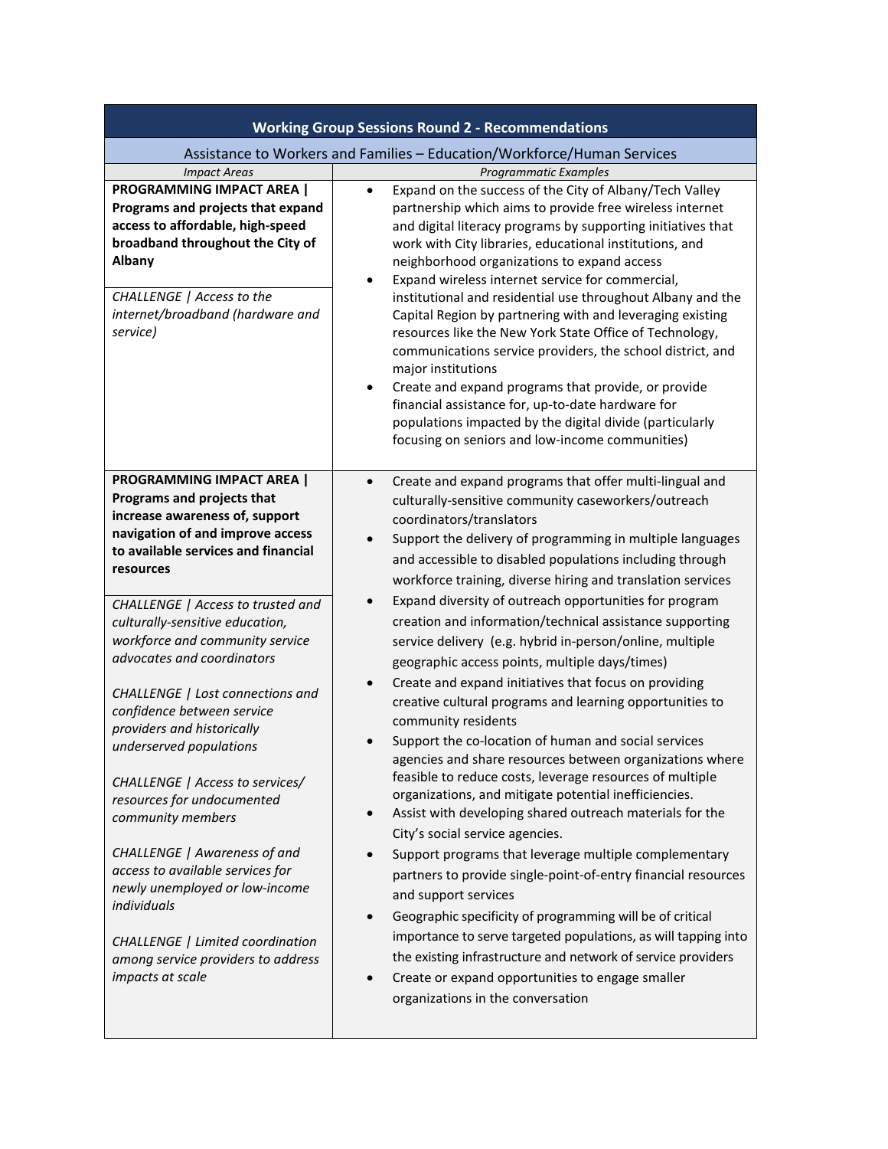| <b>Working Group Sessions Round 2 - Recommendations</b>                                                                                                                                                                                                                                                                                                                                                                                                                                                                                                                                                                                                                                                                                                               |                                                                                                                                                                                                                                                                                                                                                                                                                                                                                                                                                                                                                                                                                                                                                                                                                                                                                                                                                                                                                                                                                                                                                                                                                                                                                                                                                                                                                                                                                                                                             |  |
|-----------------------------------------------------------------------------------------------------------------------------------------------------------------------------------------------------------------------------------------------------------------------------------------------------------------------------------------------------------------------------------------------------------------------------------------------------------------------------------------------------------------------------------------------------------------------------------------------------------------------------------------------------------------------------------------------------------------------------------------------------------------------|---------------------------------------------------------------------------------------------------------------------------------------------------------------------------------------------------------------------------------------------------------------------------------------------------------------------------------------------------------------------------------------------------------------------------------------------------------------------------------------------------------------------------------------------------------------------------------------------------------------------------------------------------------------------------------------------------------------------------------------------------------------------------------------------------------------------------------------------------------------------------------------------------------------------------------------------------------------------------------------------------------------------------------------------------------------------------------------------------------------------------------------------------------------------------------------------------------------------------------------------------------------------------------------------------------------------------------------------------------------------------------------------------------------------------------------------------------------------------------------------------------------------------------------------|--|
| Assistance to Workers and Families - Education/Workforce/Human Services                                                                                                                                                                                                                                                                                                                                                                                                                                                                                                                                                                                                                                                                                               |                                                                                                                                                                                                                                                                                                                                                                                                                                                                                                                                                                                                                                                                                                                                                                                                                                                                                                                                                                                                                                                                                                                                                                                                                                                                                                                                                                                                                                                                                                                                             |  |
| <b>Impact Areas</b>                                                                                                                                                                                                                                                                                                                                                                                                                                                                                                                                                                                                                                                                                                                                                   | <b>Programmatic Examples</b>                                                                                                                                                                                                                                                                                                                                                                                                                                                                                                                                                                                                                                                                                                                                                                                                                                                                                                                                                                                                                                                                                                                                                                                                                                                                                                                                                                                                                                                                                                                |  |
| <b>PROGRAMMING IMPACT AREA  </b><br>Programs and projects that expand<br>access to affordable, high-speed<br>broadband throughout the City of<br><b>Albany</b><br>CHALLENGE   Access to the<br>internet/broadband (hardware and<br>service)                                                                                                                                                                                                                                                                                                                                                                                                                                                                                                                           | Expand on the success of the City of Albany/Tech Valley<br>$\bullet$<br>partnership which aims to provide free wireless internet<br>and digital literacy programs by supporting initiatives that<br>work with City libraries, educational institutions, and<br>neighborhood organizations to expand access<br>Expand wireless internet service for commercial,<br>institutional and residential use throughout Albany and the<br>Capital Region by partnering with and leveraging existing<br>resources like the New York State Office of Technology,<br>communications service providers, the school district, and<br>major institutions<br>Create and expand programs that provide, or provide<br>٠<br>financial assistance for, up-to-date hardware for<br>populations impacted by the digital divide (particularly<br>focusing on seniors and low-income communities)                                                                                                                                                                                                                                                                                                                                                                                                                                                                                                                                                                                                                                                                   |  |
| <b>PROGRAMMING IMPACT AREA  </b><br>Programs and projects that<br>increase awareness of, support<br>navigation of and improve access<br>to available services and financial<br>resources<br>CHALLENGE   Access to trusted and<br>culturally-sensitive education,<br>workforce and community service<br>advocates and coordinators<br>CHALLENGE   Lost connections and<br>confidence between service<br>providers and historically<br>underserved populations<br>CHALLENGE   Access to services/<br>resources for undocumented<br>community members<br>CHALLENGE   Awareness of and<br>access to available services for<br>newly unemployed or low-income<br>individuals<br>CHALLENGE   Limited coordination<br>among service providers to address<br>impacts at scale | Create and expand programs that offer multi-lingual and<br>$\bullet$<br>culturally-sensitive community caseworkers/outreach<br>coordinators/translators<br>Support the delivery of programming in multiple languages<br>$\bullet$<br>and accessible to disabled populations including through<br>workforce training, diverse hiring and translation services<br>Expand diversity of outreach opportunities for program<br>creation and information/technical assistance supporting<br>service delivery (e.g. hybrid in-person/online, multiple<br>geographic access points, multiple days/times)<br>Create and expand initiatives that focus on providing<br>creative cultural programs and learning opportunities to<br>community residents<br>Support the co-location of human and social services<br>agencies and share resources between organizations where<br>feasible to reduce costs, leverage resources of multiple<br>organizations, and mitigate potential inefficiencies.<br>Assist with developing shared outreach materials for the<br>City's social service agencies.<br>Support programs that leverage multiple complementary<br>partners to provide single-point-of-entry financial resources<br>and support services<br>Geographic specificity of programming will be of critical<br>importance to serve targeted populations, as will tapping into<br>the existing infrastructure and network of service providers<br>Create or expand opportunities to engage smaller<br>$\bullet$<br>organizations in the conversation |  |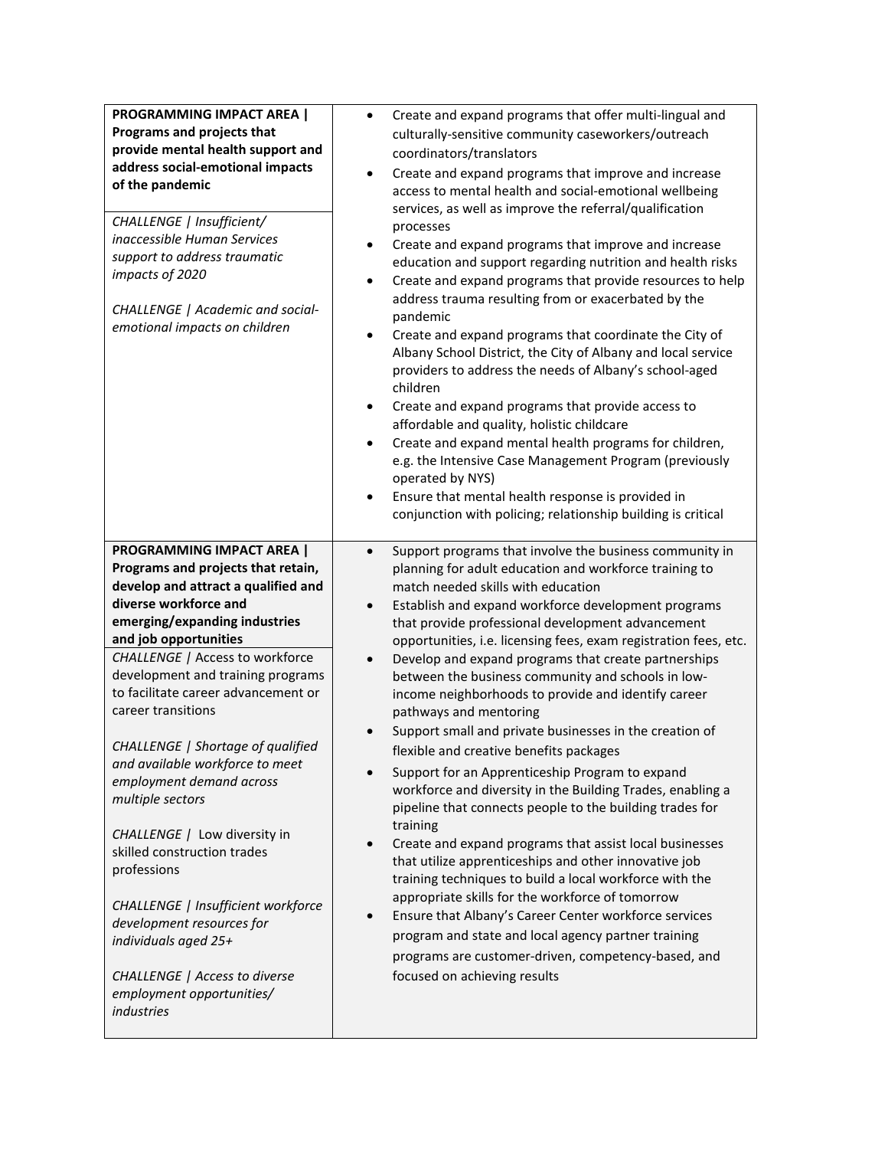| <b>PROGRAMMING IMPACT AREA  </b><br>Programs and projects that<br>provide mental health support and<br>address social-emotional impacts<br>of the pandemic<br>CHALLENGE   Insufficient/<br>inaccessible Human Services<br>support to address traumatic<br>impacts of 2020<br>CHALLENGE   Academic and social-<br>emotional impacts on children                                                                                                                                                                                                                                                                                                                                                                                   | Create and expand programs that offer multi-lingual and<br>$\bullet$<br>culturally-sensitive community caseworkers/outreach<br>coordinators/translators<br>Create and expand programs that improve and increase<br>٠<br>access to mental health and social-emotional wellbeing<br>services, as well as improve the referral/qualification<br>processes<br>Create and expand programs that improve and increase<br>$\bullet$<br>education and support regarding nutrition and health risks<br>Create and expand programs that provide resources to help<br>$\bullet$<br>address trauma resulting from or exacerbated by the<br>pandemic<br>Create and expand programs that coordinate the City of<br>$\bullet$<br>Albany School District, the City of Albany and local service<br>providers to address the needs of Albany's school-aged<br>children<br>Create and expand programs that provide access to<br>$\bullet$<br>affordable and quality, holistic childcare<br>Create and expand mental health programs for children,<br>$\bullet$<br>e.g. the Intensive Case Management Program (previously<br>operated by NYS)<br>Ensure that mental health response is provided in<br>$\bullet$<br>conjunction with policing; relationship building is critical                                                                                       |
|----------------------------------------------------------------------------------------------------------------------------------------------------------------------------------------------------------------------------------------------------------------------------------------------------------------------------------------------------------------------------------------------------------------------------------------------------------------------------------------------------------------------------------------------------------------------------------------------------------------------------------------------------------------------------------------------------------------------------------|--------------------------------------------------------------------------------------------------------------------------------------------------------------------------------------------------------------------------------------------------------------------------------------------------------------------------------------------------------------------------------------------------------------------------------------------------------------------------------------------------------------------------------------------------------------------------------------------------------------------------------------------------------------------------------------------------------------------------------------------------------------------------------------------------------------------------------------------------------------------------------------------------------------------------------------------------------------------------------------------------------------------------------------------------------------------------------------------------------------------------------------------------------------------------------------------------------------------------------------------------------------------------------------------------------------------------------------------------|
| <b>PROGRAMMING IMPACT AREA  </b><br>Programs and projects that retain,<br>develop and attract a qualified and<br>diverse workforce and<br>emerging/expanding industries<br>and job opportunities<br><b>CHALLENGE / Access to workforce</b><br>development and training programs<br>to facilitate career advancement or<br>career transitions<br>CHALLENGE   Shortage of qualified<br>and available workforce to meet<br>employment demand across<br>multiple sectors<br>CHALLENGE / Low diversity in<br>skilled construction trades<br>professions<br>CHALLENGE   Insufficient workforce<br>development resources for<br>individuals aged 25+<br><b>CHALLENGE</b>   Access to diverse<br>employment opportunities/<br>industries | Support programs that involve the business community in<br>$\bullet$<br>planning for adult education and workforce training to<br>match needed skills with education<br>Establish and expand workforce development programs<br>$\bullet$<br>that provide professional development advancement<br>opportunities, i.e. licensing fees, exam registration fees, etc.<br>Develop and expand programs that create partnerships<br>$\bullet$<br>between the business community and schools in low-<br>income neighborhoods to provide and identify career<br>pathways and mentoring<br>Support small and private businesses in the creation of<br>flexible and creative benefits packages<br>Support for an Apprenticeship Program to expand<br>workforce and diversity in the Building Trades, enabling a<br>pipeline that connects people to the building trades for<br>training<br>Create and expand programs that assist local businesses<br>$\bullet$<br>that utilize apprenticeships and other innovative job<br>training techniques to build a local workforce with the<br>appropriate skills for the workforce of tomorrow<br>Ensure that Albany's Career Center workforce services<br>$\bullet$<br>program and state and local agency partner training<br>programs are customer-driven, competency-based, and<br>focused on achieving results |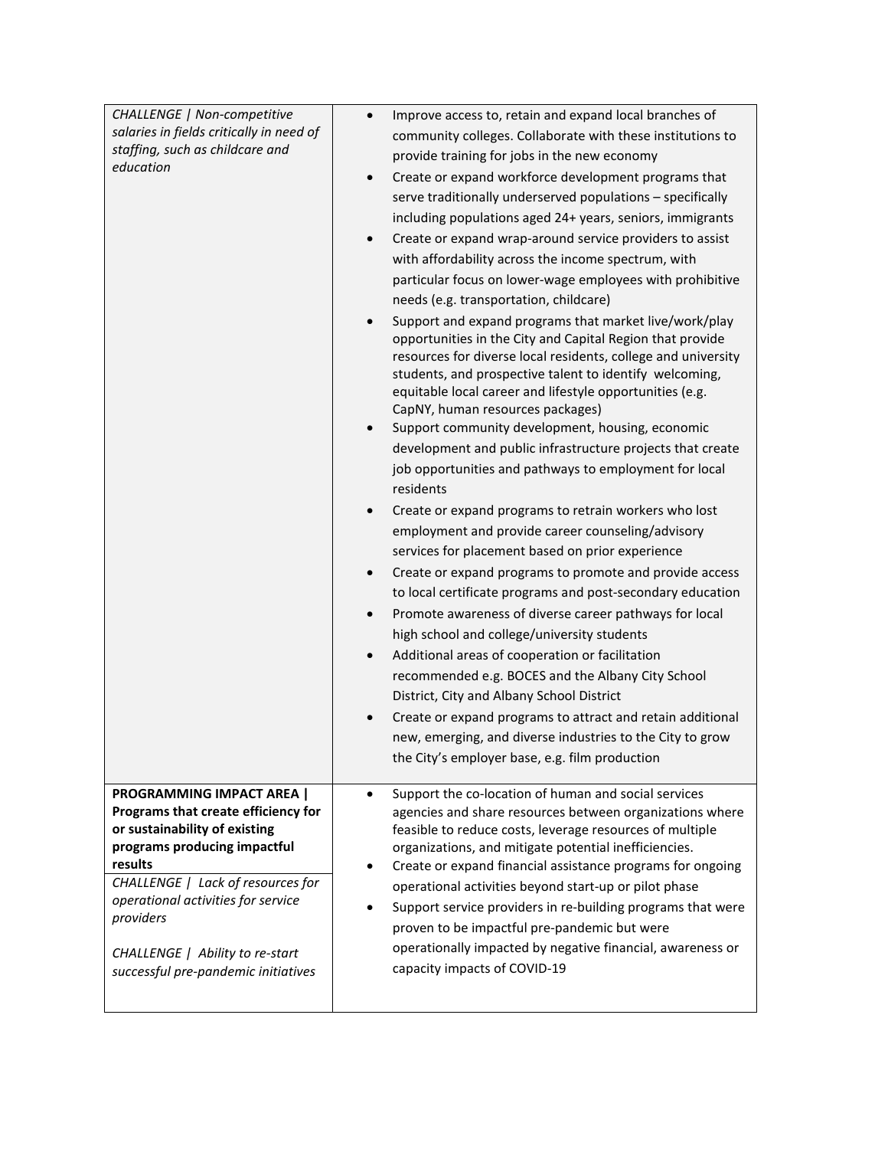| CHALLENGE   Non-competitive                                                                                                                                                                                                                                                                                           | Improve access to, retain and expand local branches of<br>$\bullet$                                                                                                                                                                                                                                                                                                                                                                                                                                                                                                                                                                                                                                                                                                                    |
|-----------------------------------------------------------------------------------------------------------------------------------------------------------------------------------------------------------------------------------------------------------------------------------------------------------------------|----------------------------------------------------------------------------------------------------------------------------------------------------------------------------------------------------------------------------------------------------------------------------------------------------------------------------------------------------------------------------------------------------------------------------------------------------------------------------------------------------------------------------------------------------------------------------------------------------------------------------------------------------------------------------------------------------------------------------------------------------------------------------------------|
| salaries in fields critically in need of                                                                                                                                                                                                                                                                              | community colleges. Collaborate with these institutions to                                                                                                                                                                                                                                                                                                                                                                                                                                                                                                                                                                                                                                                                                                                             |
| staffing, such as childcare and<br>education                                                                                                                                                                                                                                                                          | provide training for jobs in the new economy                                                                                                                                                                                                                                                                                                                                                                                                                                                                                                                                                                                                                                                                                                                                           |
|                                                                                                                                                                                                                                                                                                                       | Create or expand workforce development programs that<br>$\bullet$                                                                                                                                                                                                                                                                                                                                                                                                                                                                                                                                                                                                                                                                                                                      |
|                                                                                                                                                                                                                                                                                                                       | serve traditionally underserved populations - specifically                                                                                                                                                                                                                                                                                                                                                                                                                                                                                                                                                                                                                                                                                                                             |
|                                                                                                                                                                                                                                                                                                                       | including populations aged 24+ years, seniors, immigrants                                                                                                                                                                                                                                                                                                                                                                                                                                                                                                                                                                                                                                                                                                                              |
|                                                                                                                                                                                                                                                                                                                       | Create or expand wrap-around service providers to assist<br>$\bullet$                                                                                                                                                                                                                                                                                                                                                                                                                                                                                                                                                                                                                                                                                                                  |
|                                                                                                                                                                                                                                                                                                                       | with affordability across the income spectrum, with                                                                                                                                                                                                                                                                                                                                                                                                                                                                                                                                                                                                                                                                                                                                    |
|                                                                                                                                                                                                                                                                                                                       | particular focus on lower-wage employees with prohibitive                                                                                                                                                                                                                                                                                                                                                                                                                                                                                                                                                                                                                                                                                                                              |
|                                                                                                                                                                                                                                                                                                                       | needs (e.g. transportation, childcare)                                                                                                                                                                                                                                                                                                                                                                                                                                                                                                                                                                                                                                                                                                                                                 |
|                                                                                                                                                                                                                                                                                                                       | Support and expand programs that market live/work/play<br>opportunities in the City and Capital Region that provide<br>resources for diverse local residents, college and university<br>students, and prospective talent to identify welcoming,<br>equitable local career and lifestyle opportunities (e.g.<br>CapNY, human resources packages)<br>Support community development, housing, economic<br>$\bullet$<br>development and public infrastructure projects that create<br>job opportunities and pathways to employment for local<br>residents                                                                                                                                                                                                                                  |
|                                                                                                                                                                                                                                                                                                                       | Create or expand programs to retrain workers who lost<br>$\bullet$<br>employment and provide career counseling/advisory<br>services for placement based on prior experience<br>Create or expand programs to promote and provide access<br>$\bullet$<br>to local certificate programs and post-secondary education<br>Promote awareness of diverse career pathways for local<br>$\bullet$<br>high school and college/university students<br>Additional areas of cooperation or facilitation<br>$\bullet$<br>recommended e.g. BOCES and the Albany City School<br>District, City and Albany School District<br>Create or expand programs to attract and retain additional<br>new, emerging, and diverse industries to the City to grow<br>the City's employer base, e.g. film production |
| <b>PROGRAMMING IMPACT AREA  </b><br>Programs that create efficiency for<br>or sustainability of existing<br>programs producing impactful<br>results<br>CHALLENGE   Lack of resources for<br>operational activities for service<br>providers<br>CHALLENGE   Ability to re-start<br>successful pre-pandemic initiatives | Support the co-location of human and social services<br>$\bullet$<br>agencies and share resources between organizations where<br>feasible to reduce costs, leverage resources of multiple<br>organizations, and mitigate potential inefficiencies.<br>Create or expand financial assistance programs for ongoing<br>٠<br>operational activities beyond start-up or pilot phase<br>Support service providers in re-building programs that were<br>$\bullet$<br>proven to be impactful pre-pandemic but were<br>operationally impacted by negative financial, awareness or<br>capacity impacts of COVID-19                                                                                                                                                                               |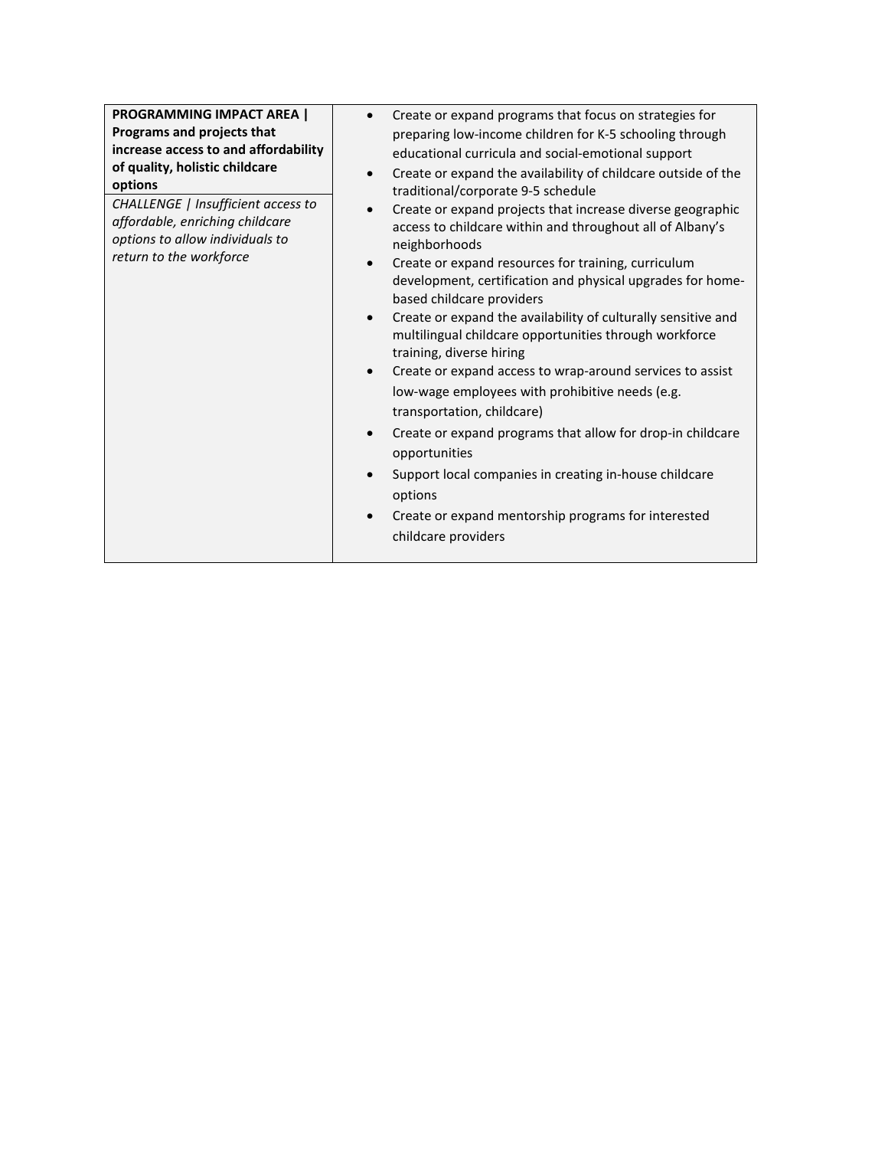| <b>PROGRAMMING IMPACT AREA  </b><br>Programs and projects that<br>increase access to and affordability<br>of quality, holistic childcare<br>options<br>CHALLENGE   Insufficient access to<br>affordable, enriching childcare<br>options to allow individuals to<br>return to the workforce | Create or expand programs that focus on strategies for<br>preparing low-income children for K-5 schooling through<br>educational curricula and social-emotional support<br>Create or expand the availability of childcare outside of the<br>$\bullet$<br>traditional/corporate 9-5 schedule<br>Create or expand projects that increase diverse geographic<br>$\bullet$<br>access to childcare within and throughout all of Albany's<br>neighborhoods<br>Create or expand resources for training, curriculum<br>$\bullet$<br>development, certification and physical upgrades for home-<br>based childcare providers<br>Create or expand the availability of culturally sensitive and<br>$\bullet$<br>multilingual childcare opportunities through workforce<br>training, diverse hiring<br>Create or expand access to wrap-around services to assist<br>$\bullet$<br>low-wage employees with prohibitive needs (e.g.<br>transportation, childcare)<br>Create or expand programs that allow for drop-in childcare<br>$\bullet$<br>opportunities<br>Support local companies in creating in-house childcare<br>$\bullet$<br>options<br>Create or expand mentorship programs for interested<br>$\bullet$<br>childcare providers |
|--------------------------------------------------------------------------------------------------------------------------------------------------------------------------------------------------------------------------------------------------------------------------------------------|-----------------------------------------------------------------------------------------------------------------------------------------------------------------------------------------------------------------------------------------------------------------------------------------------------------------------------------------------------------------------------------------------------------------------------------------------------------------------------------------------------------------------------------------------------------------------------------------------------------------------------------------------------------------------------------------------------------------------------------------------------------------------------------------------------------------------------------------------------------------------------------------------------------------------------------------------------------------------------------------------------------------------------------------------------------------------------------------------------------------------------------------------------------------------------------------------------------------------------|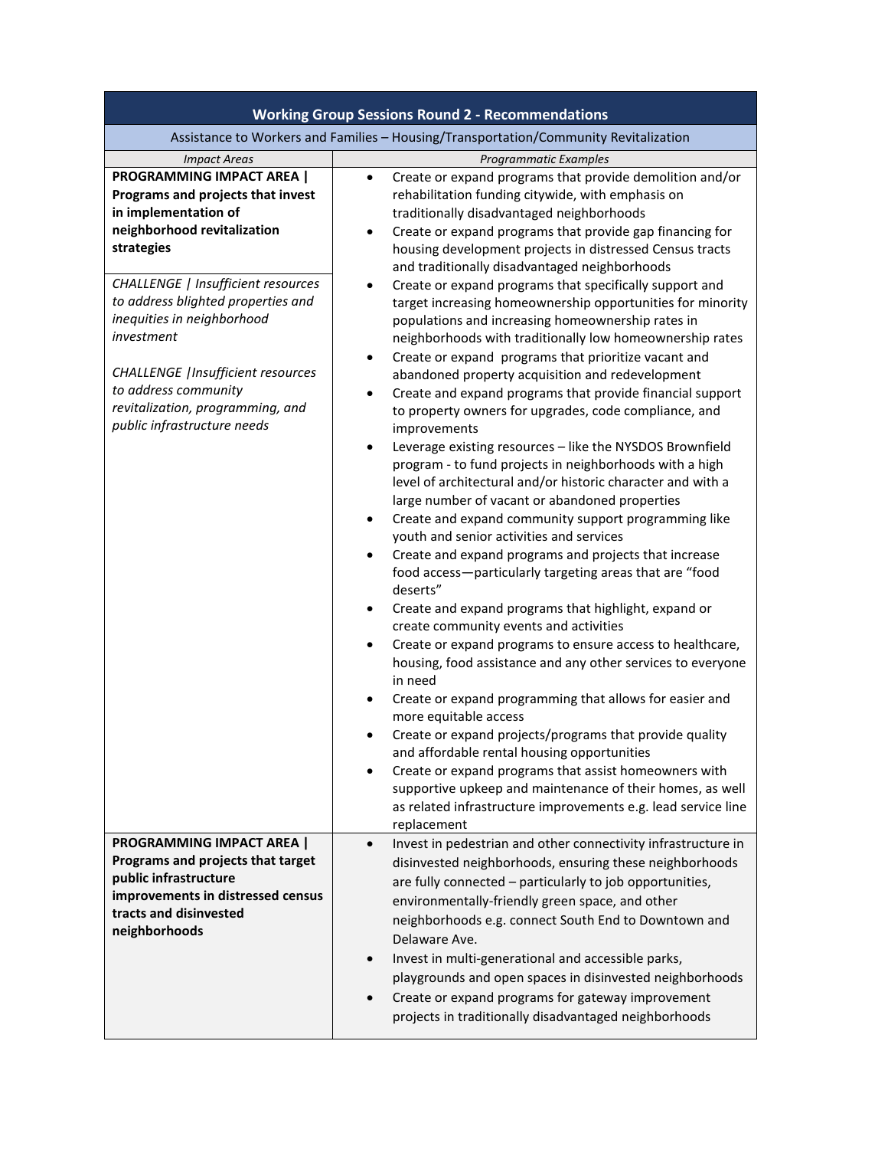| <b>Working Group Sessions Round 2 - Recommendations</b>                                                                                                                                                                                                                                                                                                                                                    |                                                                                                                                                                                                                                                                                                                                                                                                                                                                                                                                                                                                                                                                                                                                                                                                                                                                                                                                                                                                                                                                                                                                                                                                                                                                                                                                                                                                                                                                                                                                                                                                                                                                                                                                                                                                                                                                                                                                                                                                                                                             |  |
|------------------------------------------------------------------------------------------------------------------------------------------------------------------------------------------------------------------------------------------------------------------------------------------------------------------------------------------------------------------------------------------------------------|-------------------------------------------------------------------------------------------------------------------------------------------------------------------------------------------------------------------------------------------------------------------------------------------------------------------------------------------------------------------------------------------------------------------------------------------------------------------------------------------------------------------------------------------------------------------------------------------------------------------------------------------------------------------------------------------------------------------------------------------------------------------------------------------------------------------------------------------------------------------------------------------------------------------------------------------------------------------------------------------------------------------------------------------------------------------------------------------------------------------------------------------------------------------------------------------------------------------------------------------------------------------------------------------------------------------------------------------------------------------------------------------------------------------------------------------------------------------------------------------------------------------------------------------------------------------------------------------------------------------------------------------------------------------------------------------------------------------------------------------------------------------------------------------------------------------------------------------------------------------------------------------------------------------------------------------------------------------------------------------------------------------------------------------------------------|--|
| Assistance to Workers and Families - Housing/Transportation/Community Revitalization                                                                                                                                                                                                                                                                                                                       |                                                                                                                                                                                                                                                                                                                                                                                                                                                                                                                                                                                                                                                                                                                                                                                                                                                                                                                                                                                                                                                                                                                                                                                                                                                                                                                                                                                                                                                                                                                                                                                                                                                                                                                                                                                                                                                                                                                                                                                                                                                             |  |
| <b>Impact Areas</b>                                                                                                                                                                                                                                                                                                                                                                                        | Programmatic Examples                                                                                                                                                                                                                                                                                                                                                                                                                                                                                                                                                                                                                                                                                                                                                                                                                                                                                                                                                                                                                                                                                                                                                                                                                                                                                                                                                                                                                                                                                                                                                                                                                                                                                                                                                                                                                                                                                                                                                                                                                                       |  |
| <b>PROGRAMMING IMPACT AREA  </b><br>Programs and projects that invest<br>in implementation of<br>neighborhood revitalization<br>strategies<br>CHALLENGE   Insufficient resources<br>to address blighted properties and<br>inequities in neighborhood<br>investment<br><b>CHALLENGE</b>   Insufficient resources<br>to address community<br>revitalization, programming, and<br>public infrastructure needs | Create or expand programs that provide demolition and/or<br>$\bullet$<br>rehabilitation funding citywide, with emphasis on<br>traditionally disadvantaged neighborhoods<br>Create or expand programs that provide gap financing for<br>$\bullet$<br>housing development projects in distressed Census tracts<br>and traditionally disadvantaged neighborhoods<br>Create or expand programs that specifically support and<br>$\bullet$<br>target increasing homeownership opportunities for minority<br>populations and increasing homeownership rates in<br>neighborhoods with traditionally low homeownership rates<br>Create or expand programs that prioritize vacant and<br>$\bullet$<br>abandoned property acquisition and redevelopment<br>Create and expand programs that provide financial support<br>$\bullet$<br>to property owners for upgrades, code compliance, and<br>improvements<br>Leverage existing resources - like the NYSDOS Brownfield<br>program - to fund projects in neighborhoods with a high<br>level of architectural and/or historic character and with a<br>large number of vacant or abandoned properties<br>Create and expand community support programming like<br>٠<br>youth and senior activities and services<br>Create and expand programs and projects that increase<br>$\bullet$<br>food access-particularly targeting areas that are "food<br>deserts"<br>Create and expand programs that highlight, expand or<br>٠<br>create community events and activities<br>Create or expand programs to ensure access to healthcare,<br>$\bullet$<br>housing, food assistance and any other services to everyone<br>in need<br>Create or expand programming that allows for easier and<br>$\bullet$<br>more equitable access<br>Create or expand projects/programs that provide quality<br>and affordable rental housing opportunities<br>Create or expand programs that assist homeowners with<br>supportive upkeep and maintenance of their homes, as well<br>as related infrastructure improvements e.g. lead service line |  |
|                                                                                                                                                                                                                                                                                                                                                                                                            | replacement                                                                                                                                                                                                                                                                                                                                                                                                                                                                                                                                                                                                                                                                                                                                                                                                                                                                                                                                                                                                                                                                                                                                                                                                                                                                                                                                                                                                                                                                                                                                                                                                                                                                                                                                                                                                                                                                                                                                                                                                                                                 |  |
| <b>PROGRAMMING IMPACT AREA  </b><br>Programs and projects that target<br>public infrastructure<br>improvements in distressed census<br>tracts and disinvested<br>neighborhoods                                                                                                                                                                                                                             | Invest in pedestrian and other connectivity infrastructure in<br>$\bullet$<br>disinvested neighborhoods, ensuring these neighborhoods<br>are fully connected - particularly to job opportunities,<br>environmentally-friendly green space, and other<br>neighborhoods e.g. connect South End to Downtown and<br>Delaware Ave.<br>Invest in multi-generational and accessible parks,<br>$\bullet$<br>playgrounds and open spaces in disinvested neighborhoods                                                                                                                                                                                                                                                                                                                                                                                                                                                                                                                                                                                                                                                                                                                                                                                                                                                                                                                                                                                                                                                                                                                                                                                                                                                                                                                                                                                                                                                                                                                                                                                                |  |
|                                                                                                                                                                                                                                                                                                                                                                                                            | Create or expand programs for gateway improvement<br>projects in traditionally disadvantaged neighborhoods                                                                                                                                                                                                                                                                                                                                                                                                                                                                                                                                                                                                                                                                                                                                                                                                                                                                                                                                                                                                                                                                                                                                                                                                                                                                                                                                                                                                                                                                                                                                                                                                                                                                                                                                                                                                                                                                                                                                                  |  |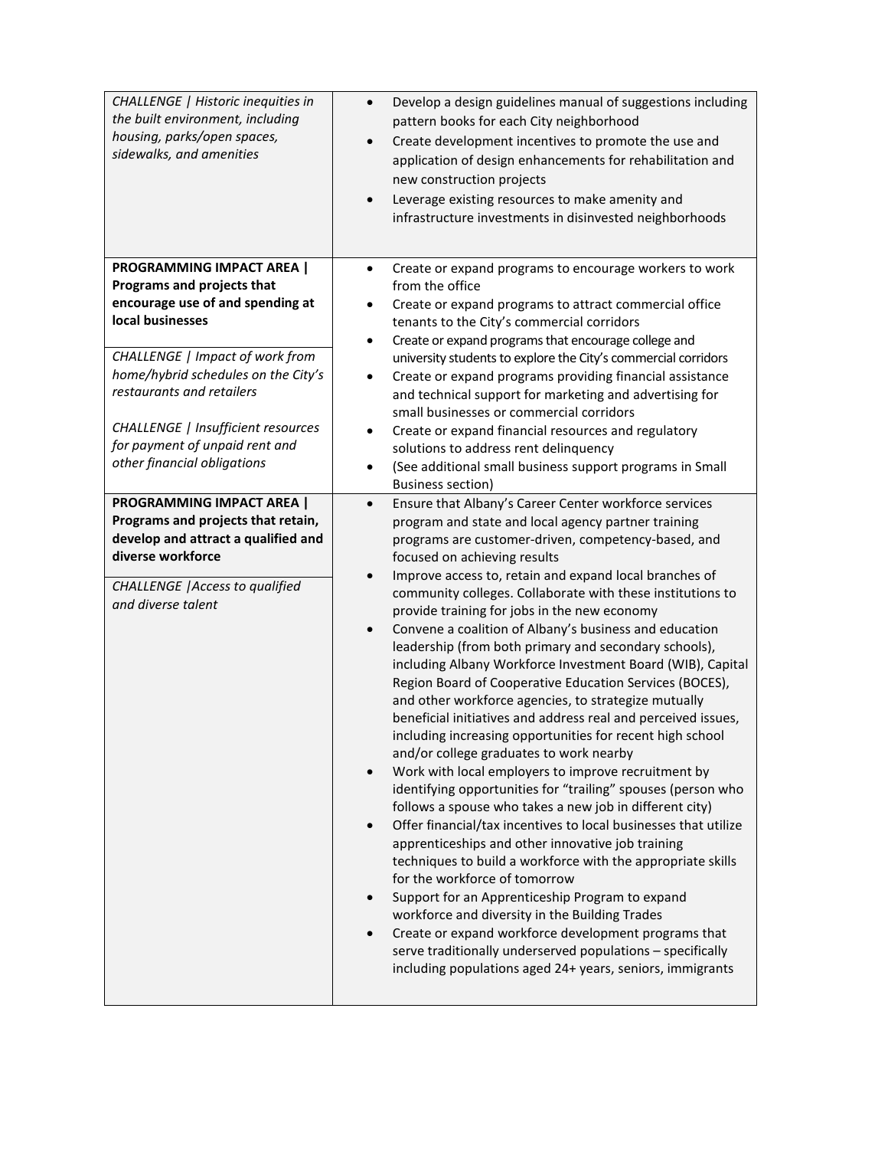| CHALLENGE   Historic inequities in<br>the built environment, including<br>housing, parks/open spaces,<br>sidewalks, and amenities                                                                                                                                                                                             | Develop a design guidelines manual of suggestions including<br>$\bullet$<br>pattern books for each City neighborhood<br>Create development incentives to promote the use and<br>$\bullet$<br>application of design enhancements for rehabilitation and<br>new construction projects<br>Leverage existing resources to make amenity and<br>$\bullet$<br>infrastructure investments in disinvested neighborhoods                                                                                                                                                                                                                                                                                                                                                                                                                                                                                                                                                                                                                                                                                                                                                                                                                                                                                                                                                                                                                                                                                                                                                                                                              |
|-------------------------------------------------------------------------------------------------------------------------------------------------------------------------------------------------------------------------------------------------------------------------------------------------------------------------------|-----------------------------------------------------------------------------------------------------------------------------------------------------------------------------------------------------------------------------------------------------------------------------------------------------------------------------------------------------------------------------------------------------------------------------------------------------------------------------------------------------------------------------------------------------------------------------------------------------------------------------------------------------------------------------------------------------------------------------------------------------------------------------------------------------------------------------------------------------------------------------------------------------------------------------------------------------------------------------------------------------------------------------------------------------------------------------------------------------------------------------------------------------------------------------------------------------------------------------------------------------------------------------------------------------------------------------------------------------------------------------------------------------------------------------------------------------------------------------------------------------------------------------------------------------------------------------------------------------------------------------|
| PROGRAMMING IMPACT AREA  <br>Programs and projects that<br>encourage use of and spending at<br>local businesses<br>CHALLENGE   Impact of work from<br>home/hybrid schedules on the City's<br>restaurants and retailers<br>CHALLENGE   Insufficient resources<br>for payment of unpaid rent and<br>other financial obligations | Create or expand programs to encourage workers to work<br>$\bullet$<br>from the office<br>Create or expand programs to attract commercial office<br>$\bullet$<br>tenants to the City's commercial corridors<br>Create or expand programs that encourage college and<br>$\bullet$<br>university students to explore the City's commercial corridors<br>Create or expand programs providing financial assistance<br>$\bullet$<br>and technical support for marketing and advertising for<br>small businesses or commercial corridors<br>Create or expand financial resources and regulatory<br>$\bullet$<br>solutions to address rent delinquency<br>(See additional small business support programs in Small<br>$\bullet$<br><b>Business section)</b>                                                                                                                                                                                                                                                                                                                                                                                                                                                                                                                                                                                                                                                                                                                                                                                                                                                                        |
| <b>PROGRAMMING IMPACT AREA  </b><br>Programs and projects that retain,<br>develop and attract a qualified and<br>diverse workforce<br><b>CHALLENGE</b>   Access to qualified<br>and diverse talent                                                                                                                            | Ensure that Albany's Career Center workforce services<br>$\bullet$<br>program and state and local agency partner training<br>programs are customer-driven, competency-based, and<br>focused on achieving results<br>Improve access to, retain and expand local branches of<br>community colleges. Collaborate with these institutions to<br>provide training for jobs in the new economy<br>Convene a coalition of Albany's business and education<br>$\bullet$<br>leadership (from both primary and secondary schools),<br>including Albany Workforce Investment Board (WIB), Capital<br>Region Board of Cooperative Education Services (BOCES),<br>and other workforce agencies, to strategize mutually<br>beneficial initiatives and address real and perceived issues,<br>including increasing opportunities for recent high school<br>and/or college graduates to work nearby<br>Work with local employers to improve recruitment by<br>$\bullet$<br>identifying opportunities for "trailing" spouses (person who<br>follows a spouse who takes a new job in different city)<br>Offer financial/tax incentives to local businesses that utilize<br>$\bullet$<br>apprenticeships and other innovative job training<br>techniques to build a workforce with the appropriate skills<br>for the workforce of tomorrow<br>Support for an Apprenticeship Program to expand<br>workforce and diversity in the Building Trades<br>Create or expand workforce development programs that<br>$\bullet$<br>serve traditionally underserved populations - specifically<br>including populations aged 24+ years, seniors, immigrants |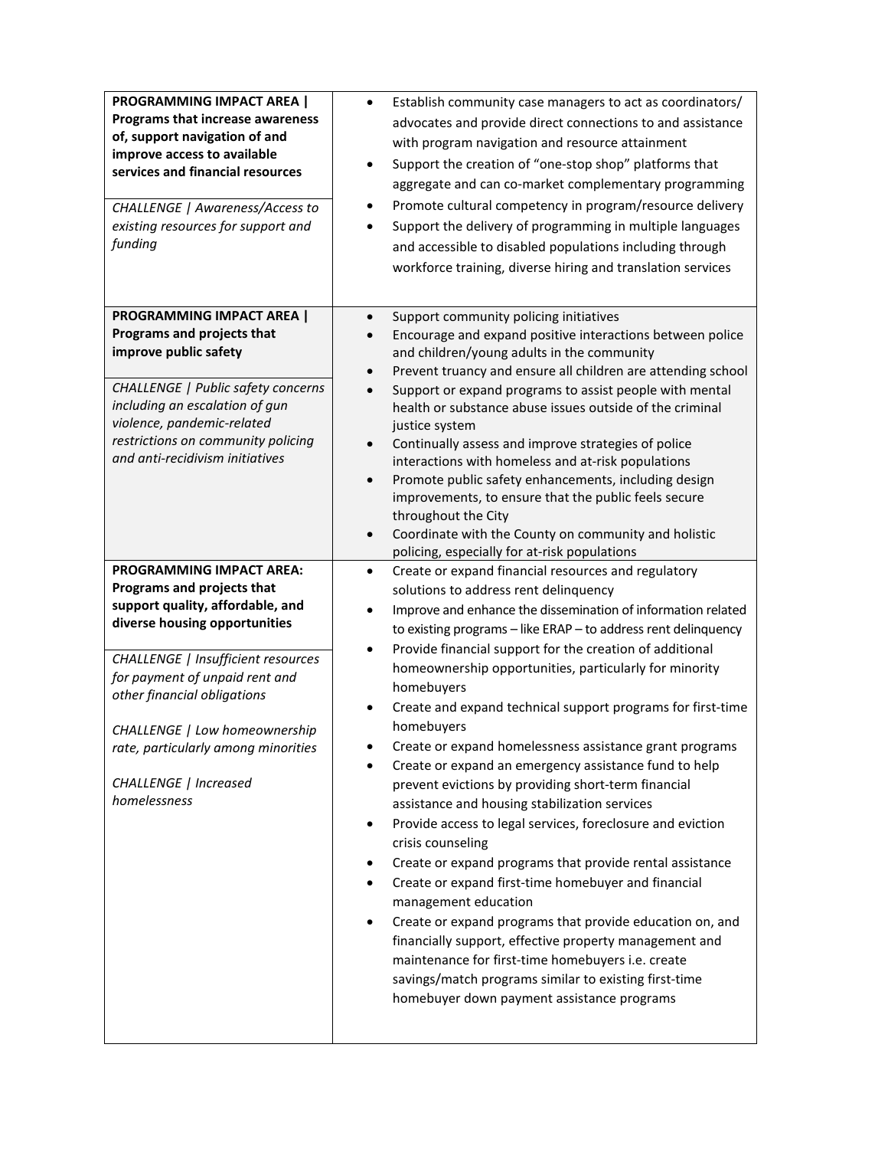| <b>PROGRAMMING IMPACT AREA  </b><br>Programs that increase awareness<br>of, support navigation of and<br>improve access to available<br>services and financial resources<br>CHALLENGE   Awareness/Access to<br>existing resources for support and<br>funding                                                                                                                                                                                                                         | Establish community case managers to act as coordinators/<br>$\bullet$<br>advocates and provide direct connections to and assistance<br>with program navigation and resource attainment<br>Support the creation of "one-stop shop" platforms that<br>$\bullet$<br>aggregate and can co-market complementary programming<br>Promote cultural competency in program/resource delivery<br>Support the delivery of programming in multiple languages<br>and accessible to disabled populations including through<br>workforce training, diverse hiring and translation services                                                                                                                                                                                                                                                                                                                                                                                                                                                                                                                                                                                  |
|--------------------------------------------------------------------------------------------------------------------------------------------------------------------------------------------------------------------------------------------------------------------------------------------------------------------------------------------------------------------------------------------------------------------------------------------------------------------------------------|--------------------------------------------------------------------------------------------------------------------------------------------------------------------------------------------------------------------------------------------------------------------------------------------------------------------------------------------------------------------------------------------------------------------------------------------------------------------------------------------------------------------------------------------------------------------------------------------------------------------------------------------------------------------------------------------------------------------------------------------------------------------------------------------------------------------------------------------------------------------------------------------------------------------------------------------------------------------------------------------------------------------------------------------------------------------------------------------------------------------------------------------------------------|
| <b>PROGRAMMING IMPACT AREA  </b><br>Programs and projects that<br>improve public safety<br>CHALLENGE   Public safety concerns<br>including an escalation of gun<br>violence, pandemic-related<br>restrictions on community policing<br>and anti-recidivism initiatives<br><b>PROGRAMMING IMPACT AREA:</b><br>Programs and projects that<br>support quality, affordable, and<br>diverse housing opportunities<br>CHALLENGE   Insufficient resources<br>for payment of unpaid rent and | Support community policing initiatives<br>$\bullet$<br>Encourage and expand positive interactions between police<br>and children/young adults in the community<br>Prevent truancy and ensure all children are attending school<br>Support or expand programs to assist people with mental<br>health or substance abuse issues outside of the criminal<br>justice system<br>Continually assess and improve strategies of police<br>$\bullet$<br>interactions with homeless and at-risk populations<br>Promote public safety enhancements, including design<br>$\bullet$<br>improvements, to ensure that the public feels secure<br>throughout the City<br>Coordinate with the County on community and holistic<br>$\bullet$<br>policing, especially for at-risk populations<br>Create or expand financial resources and regulatory<br>$\bullet$<br>solutions to address rent delinquency<br>Improve and enhance the dissemination of information related<br>to existing programs - like ERAP - to address rent delinquency<br>Provide financial support for the creation of additional<br>$\bullet$<br>homeownership opportunities, particularly for minority |
| other financial obligations<br>CHALLENGE   Low homeownership<br>rate, particularly among minorities<br>CHALLENGE   Increased<br>homelessness                                                                                                                                                                                                                                                                                                                                         | homebuyers<br>Create and expand technical support programs for first-time<br>homebuyers<br>Create or expand homelessness assistance grant programs<br>Create or expand an emergency assistance fund to help<br>prevent evictions by providing short-term financial<br>assistance and housing stabilization services<br>Provide access to legal services, foreclosure and eviction<br>$\bullet$<br>crisis counseling<br>Create or expand programs that provide rental assistance<br>٠<br>Create or expand first-time homebuyer and financial<br>٠<br>management education<br>Create or expand programs that provide education on, and<br>$\bullet$<br>financially support, effective property management and<br>maintenance for first-time homebuyers i.e. create<br>savings/match programs similar to existing first-time<br>homebuyer down payment assistance programs                                                                                                                                                                                                                                                                                      |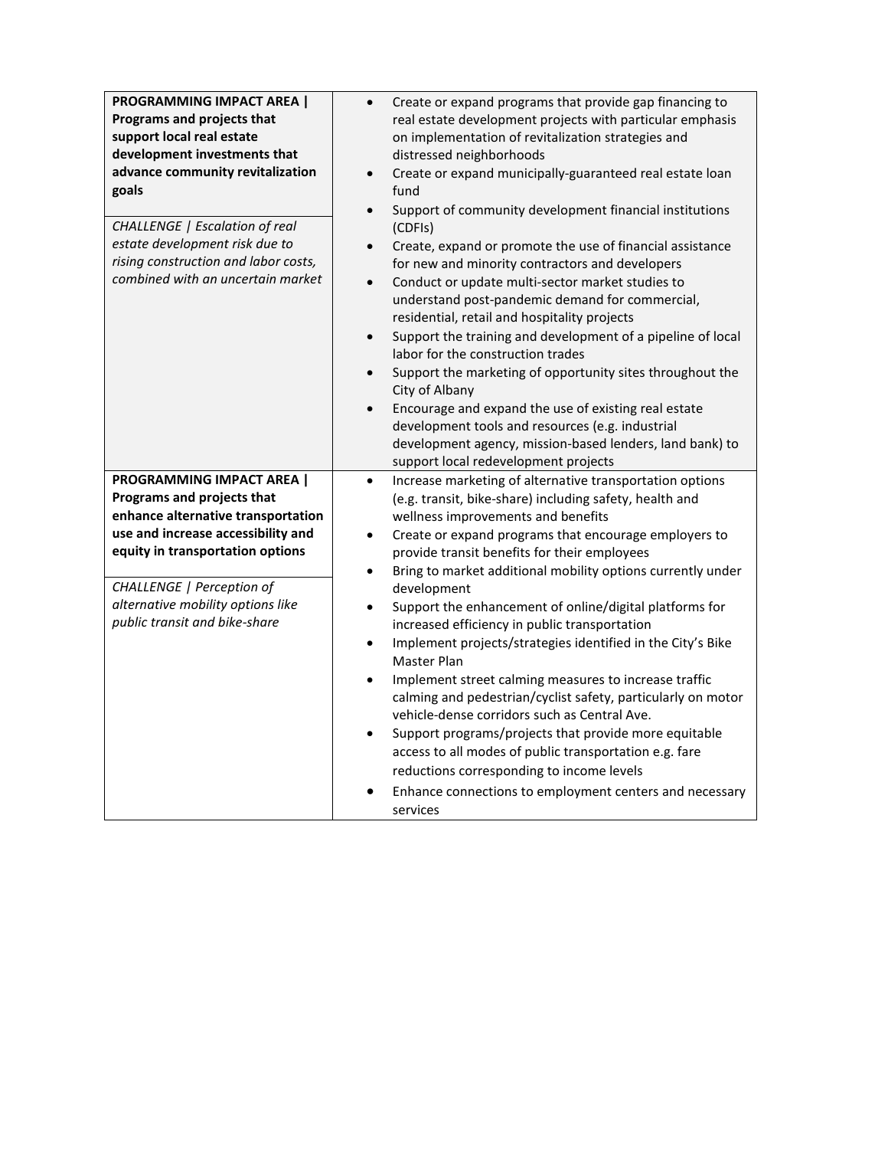| <b>PROGRAMMING IMPACT AREA  </b><br>Programs and projects that<br>support local real estate<br>development investments that<br>advance community revitalization<br>goals<br>CHALLENGE   Escalation of real<br>estate development risk due to<br>rising construction and labor costs,<br>combined with an uncertain market | Create or expand programs that provide gap financing to<br>$\bullet$<br>real estate development projects with particular emphasis<br>on implementation of revitalization strategies and<br>distressed neighborhoods<br>Create or expand municipally-guaranteed real estate loan<br>$\bullet$<br>fund<br>Support of community development financial institutions<br>$\bullet$<br>(CDFIs)<br>Create, expand or promote the use of financial assistance<br>for new and minority contractors and developers<br>Conduct or update multi-sector market studies to<br>$\bullet$<br>understand post-pandemic demand for commercial,<br>residential, retail and hospitality projects<br>Support the training and development of a pipeline of local<br>$\bullet$<br>labor for the construction trades<br>Support the marketing of opportunity sites throughout the<br>$\bullet$<br>City of Albany<br>Encourage and expand the use of existing real estate<br>development tools and resources (e.g. industrial<br>development agency, mission-based lenders, land bank) to<br>support local redevelopment projects |
|---------------------------------------------------------------------------------------------------------------------------------------------------------------------------------------------------------------------------------------------------------------------------------------------------------------------------|----------------------------------------------------------------------------------------------------------------------------------------------------------------------------------------------------------------------------------------------------------------------------------------------------------------------------------------------------------------------------------------------------------------------------------------------------------------------------------------------------------------------------------------------------------------------------------------------------------------------------------------------------------------------------------------------------------------------------------------------------------------------------------------------------------------------------------------------------------------------------------------------------------------------------------------------------------------------------------------------------------------------------------------------------------------------------------------------------------|
| <b>PROGRAMMING IMPACT AREA  </b>                                                                                                                                                                                                                                                                                          | Increase marketing of alternative transportation options<br>$\bullet$                                                                                                                                                                                                                                                                                                                                                                                                                                                                                                                                                                                                                                                                                                                                                                                                                                                                                                                                                                                                                                    |
| Programs and projects that                                                                                                                                                                                                                                                                                                | (e.g. transit, bike-share) including safety, health and                                                                                                                                                                                                                                                                                                                                                                                                                                                                                                                                                                                                                                                                                                                                                                                                                                                                                                                                                                                                                                                  |
| enhance alternative transportation                                                                                                                                                                                                                                                                                        | wellness improvements and benefits                                                                                                                                                                                                                                                                                                                                                                                                                                                                                                                                                                                                                                                                                                                                                                                                                                                                                                                                                                                                                                                                       |
| use and increase accessibility and                                                                                                                                                                                                                                                                                        | Create or expand programs that encourage employers to<br>$\bullet$                                                                                                                                                                                                                                                                                                                                                                                                                                                                                                                                                                                                                                                                                                                                                                                                                                                                                                                                                                                                                                       |
| equity in transportation options                                                                                                                                                                                                                                                                                          | provide transit benefits for their employees                                                                                                                                                                                                                                                                                                                                                                                                                                                                                                                                                                                                                                                                                                                                                                                                                                                                                                                                                                                                                                                             |
|                                                                                                                                                                                                                                                                                                                           | Bring to market additional mobility options currently under<br>$\bullet$                                                                                                                                                                                                                                                                                                                                                                                                                                                                                                                                                                                                                                                                                                                                                                                                                                                                                                                                                                                                                                 |
| CHALLENGE   Perception of                                                                                                                                                                                                                                                                                                 | development                                                                                                                                                                                                                                                                                                                                                                                                                                                                                                                                                                                                                                                                                                                                                                                                                                                                                                                                                                                                                                                                                              |
| alternative mobility options like                                                                                                                                                                                                                                                                                         | Support the enhancement of online/digital platforms for<br>$\bullet$                                                                                                                                                                                                                                                                                                                                                                                                                                                                                                                                                                                                                                                                                                                                                                                                                                                                                                                                                                                                                                     |
| public transit and bike-share                                                                                                                                                                                                                                                                                             | increased efficiency in public transportation                                                                                                                                                                                                                                                                                                                                                                                                                                                                                                                                                                                                                                                                                                                                                                                                                                                                                                                                                                                                                                                            |
|                                                                                                                                                                                                                                                                                                                           | Implement projects/strategies identified in the City's Bike<br>$\bullet$<br>Master Plan                                                                                                                                                                                                                                                                                                                                                                                                                                                                                                                                                                                                                                                                                                                                                                                                                                                                                                                                                                                                                  |
|                                                                                                                                                                                                                                                                                                                           | Implement street calming measures to increase traffic<br>$\bullet$                                                                                                                                                                                                                                                                                                                                                                                                                                                                                                                                                                                                                                                                                                                                                                                                                                                                                                                                                                                                                                       |
|                                                                                                                                                                                                                                                                                                                           | calming and pedestrian/cyclist safety, particularly on motor<br>vehicle-dense corridors such as Central Ave.                                                                                                                                                                                                                                                                                                                                                                                                                                                                                                                                                                                                                                                                                                                                                                                                                                                                                                                                                                                             |
|                                                                                                                                                                                                                                                                                                                           | Support programs/projects that provide more equitable<br>$\bullet$                                                                                                                                                                                                                                                                                                                                                                                                                                                                                                                                                                                                                                                                                                                                                                                                                                                                                                                                                                                                                                       |
|                                                                                                                                                                                                                                                                                                                           | access to all modes of public transportation e.g. fare                                                                                                                                                                                                                                                                                                                                                                                                                                                                                                                                                                                                                                                                                                                                                                                                                                                                                                                                                                                                                                                   |
|                                                                                                                                                                                                                                                                                                                           | reductions corresponding to income levels                                                                                                                                                                                                                                                                                                                                                                                                                                                                                                                                                                                                                                                                                                                                                                                                                                                                                                                                                                                                                                                                |
|                                                                                                                                                                                                                                                                                                                           | Enhance connections to employment centers and necessary<br>services                                                                                                                                                                                                                                                                                                                                                                                                                                                                                                                                                                                                                                                                                                                                                                                                                                                                                                                                                                                                                                      |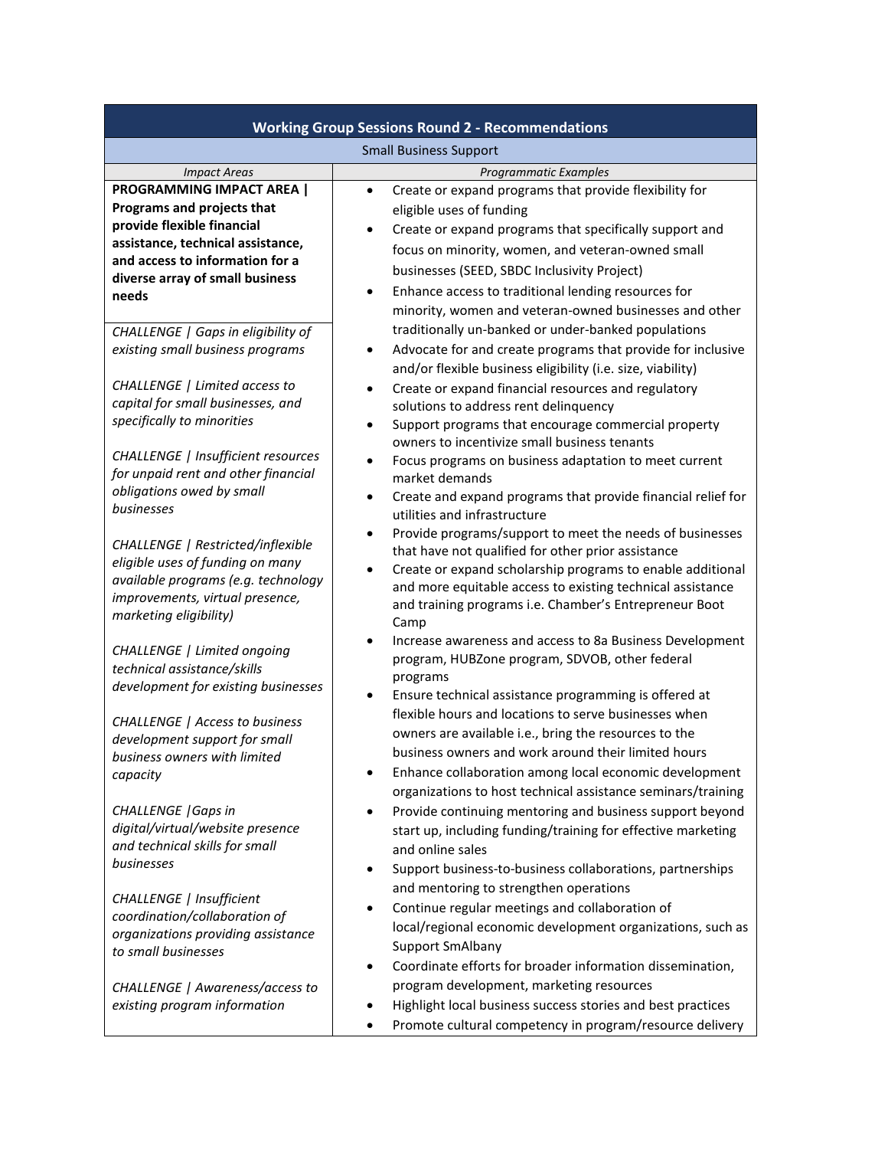| <b>Working Group Sessions Round 2 - Recommendations</b>                                                                                                                                                          |                                                                                                                                                                                                                                                                                                                                                                                                   |  |
|------------------------------------------------------------------------------------------------------------------------------------------------------------------------------------------------------------------|---------------------------------------------------------------------------------------------------------------------------------------------------------------------------------------------------------------------------------------------------------------------------------------------------------------------------------------------------------------------------------------------------|--|
| <b>Small Business Support</b>                                                                                                                                                                                    |                                                                                                                                                                                                                                                                                                                                                                                                   |  |
| <b>Impact Areas</b>                                                                                                                                                                                              | Programmatic Examples                                                                                                                                                                                                                                                                                                                                                                             |  |
| <b>PROGRAMMING IMPACT AREA  </b><br>Programs and projects that<br>provide flexible financial<br>assistance, technical assistance,<br>and access to information for a<br>diverse array of small business<br>needs | Create or expand programs that provide flexibility for<br>$\bullet$<br>eligible uses of funding<br>Create or expand programs that specifically support and<br>$\bullet$<br>focus on minority, women, and veteran-owned small<br>businesses (SEED, SBDC Inclusivity Project)<br>Enhance access to traditional lending resources for<br>٠<br>minority, women and veteran-owned businesses and other |  |
| CHALLENGE   Gaps in eligibility of<br>existing small business programs<br>CHALLENGE   Limited access to                                                                                                          | traditionally un-banked or under-banked populations<br>Advocate for and create programs that provide for inclusive<br>٠<br>and/or flexible business eligibility (i.e. size, viability)                                                                                                                                                                                                            |  |
| capital for small businesses, and<br>specifically to minorities                                                                                                                                                  | Create or expand financial resources and regulatory<br>solutions to address rent delinquency<br>Support programs that encourage commercial property<br>$\bullet$<br>owners to incentivize small business tenants                                                                                                                                                                                  |  |
| CHALLENGE   Insufficient resources<br>for unpaid rent and other financial<br>obligations owed by small<br>businesses                                                                                             | Focus programs on business adaptation to meet current<br>$\bullet$<br>market demands<br>Create and expand programs that provide financial relief for<br>$\bullet$<br>utilities and infrastructure                                                                                                                                                                                                 |  |
| CHALLENGE   Restricted/inflexible<br>eligible uses of funding on many<br>available programs (e.g. technology<br>improvements, virtual presence,<br>marketing eligibility)                                        | Provide programs/support to meet the needs of businesses<br>$\bullet$<br>that have not qualified for other prior assistance<br>Create or expand scholarship programs to enable additional<br>$\bullet$<br>and more equitable access to existing technical assistance<br>and training programs i.e. Chamber's Entrepreneur Boot<br>Camp                                                            |  |
| CHALLENGE   Limited ongoing<br>technical assistance/skills<br>development for existing businesses                                                                                                                | Increase awareness and access to 8a Business Development<br>program, HUBZone program, SDVOB, other federal<br>programs<br>Ensure technical assistance programming is offered at                                                                                                                                                                                                                   |  |
| <b>CHALLENGE</b>   Access to business<br>development support for small<br>business owners with limited<br>capacity                                                                                               | flexible hours and locations to serve businesses when<br>owners are available i.e., bring the resources to the<br>business owners and work around their limited hours<br>Enhance collaboration among local economic development<br>organizations to host technical assistance seminars/training                                                                                                   |  |
| <b>CHALLENGE</b>   Gaps in<br>digital/virtual/website presence<br>and technical skills for small<br>businesses                                                                                                   | Provide continuing mentoring and business support beyond<br>$\bullet$<br>start up, including funding/training for effective marketing<br>and online sales<br>Support business-to-business collaborations, partnerships                                                                                                                                                                            |  |
| CHALLENGE   Insufficient<br>coordination/collaboration of<br>organizations providing assistance<br>to small businesses                                                                                           | and mentoring to strengthen operations<br>Continue regular meetings and collaboration of<br>$\bullet$<br>local/regional economic development organizations, such as<br><b>Support SmAlbany</b><br>Coordinate efforts for broader information dissemination,                                                                                                                                       |  |
| CHALLENGE   Awareness/access to<br>existing program information                                                                                                                                                  | program development, marketing resources<br>Highlight local business success stories and best practices<br>Promote cultural competency in program/resource delivery                                                                                                                                                                                                                               |  |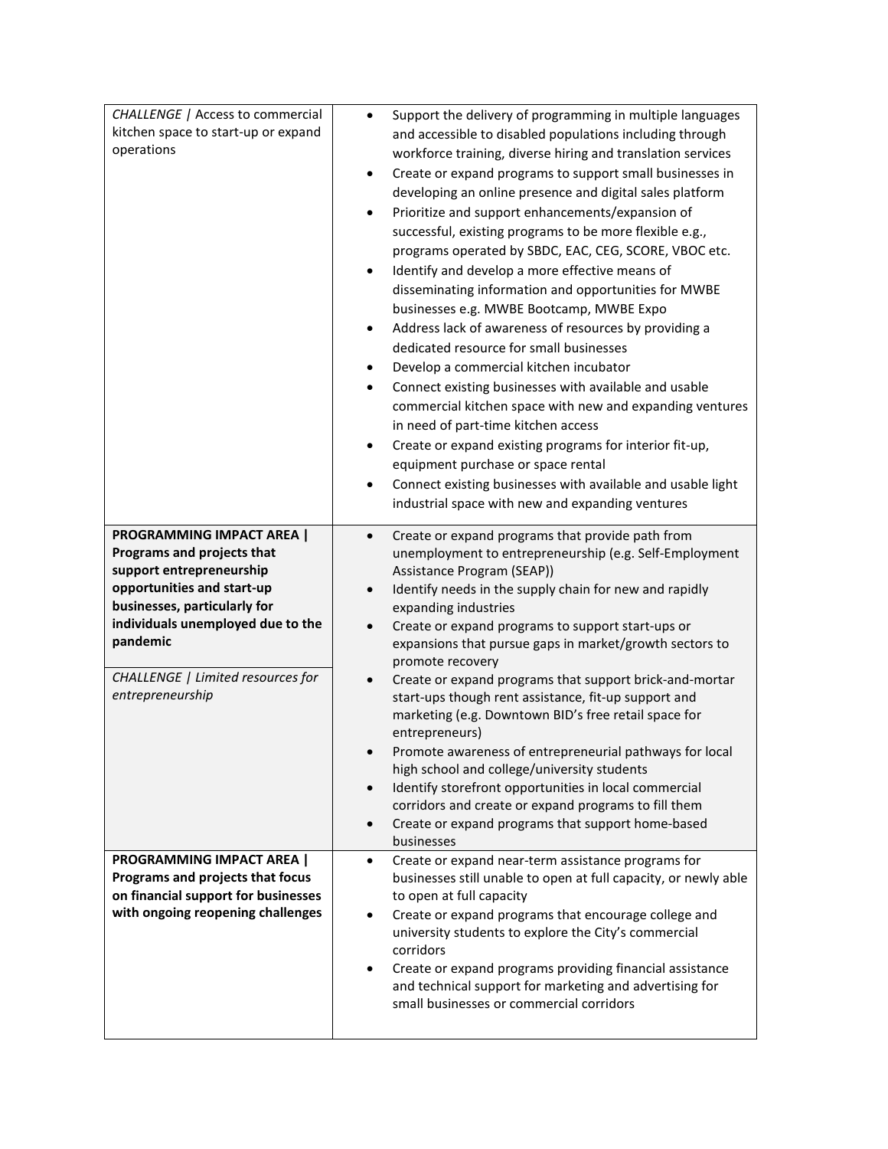| CHALLENGE   Access to commercial<br>kitchen space to start-up or expand<br>operations                                                                                                                                                                              | Support the delivery of programming in multiple languages<br>$\bullet$<br>and accessible to disabled populations including through<br>workforce training, diverse hiring and translation services<br>Create or expand programs to support small businesses in<br>$\bullet$<br>developing an online presence and digital sales platform<br>Prioritize and support enhancements/expansion of<br>$\bullet$<br>successful, existing programs to be more flexible e.g.,<br>programs operated by SBDC, EAC, CEG, SCORE, VBOC etc.<br>Identify and develop a more effective means of<br>$\bullet$<br>disseminating information and opportunities for MWBE<br>businesses e.g. MWBE Bootcamp, MWBE Expo<br>Address lack of awareness of resources by providing a<br>$\bullet$<br>dedicated resource for small businesses<br>Develop a commercial kitchen incubator<br>$\bullet$<br>Connect existing businesses with available and usable<br>$\bullet$<br>commercial kitchen space with new and expanding ventures<br>in need of part-time kitchen access<br>Create or expand existing programs for interior fit-up,<br>$\bullet$<br>equipment purchase or space rental<br>Connect existing businesses with available and usable light<br>$\bullet$ |
|--------------------------------------------------------------------------------------------------------------------------------------------------------------------------------------------------------------------------------------------------------------------|-------------------------------------------------------------------------------------------------------------------------------------------------------------------------------------------------------------------------------------------------------------------------------------------------------------------------------------------------------------------------------------------------------------------------------------------------------------------------------------------------------------------------------------------------------------------------------------------------------------------------------------------------------------------------------------------------------------------------------------------------------------------------------------------------------------------------------------------------------------------------------------------------------------------------------------------------------------------------------------------------------------------------------------------------------------------------------------------------------------------------------------------------------------------------------------------------------------------------------------------|
|                                                                                                                                                                                                                                                                    | industrial space with new and expanding ventures                                                                                                                                                                                                                                                                                                                                                                                                                                                                                                                                                                                                                                                                                                                                                                                                                                                                                                                                                                                                                                                                                                                                                                                          |
| <b>PROGRAMMING IMPACT AREA  </b><br>Programs and projects that<br>support entrepreneurship<br>opportunities and start-up<br>businesses, particularly for<br>individuals unemployed due to the<br>pandemic<br>CHALLENGE   Limited resources for<br>entrepreneurship | Create or expand programs that provide path from<br>$\bullet$<br>unemployment to entrepreneurship (e.g. Self-Employment<br>Assistance Program (SEAP))<br>Identify needs in the supply chain for new and rapidly<br>$\bullet$<br>expanding industries<br>Create or expand programs to support start-ups or<br>$\bullet$<br>expansions that pursue gaps in market/growth sectors to<br>promote recovery<br>Create or expand programs that support brick-and-mortar<br>$\bullet$<br>start-ups though rent assistance, fit-up support and<br>marketing (e.g. Downtown BID's free retail space for<br>entrepreneurs)<br>Promote awareness of entrepreneurial pathways for local<br>high school and college/university students<br>Identify storefront opportunities in local commercial<br>$\bullet$<br>corridors and create or expand programs to fill them<br>Create or expand programs that support home-based<br>$\bullet$<br>businesses                                                                                                                                                                                                                                                                                                   |
| <b>PROGRAMMING IMPACT AREA  </b><br>Programs and projects that focus<br>on financial support for businesses<br>with ongoing reopening challenges                                                                                                                   | Create or expand near-term assistance programs for<br>$\bullet$<br>businesses still unable to open at full capacity, or newly able<br>to open at full capacity<br>Create or expand programs that encourage college and<br>٠<br>university students to explore the City's commercial<br>corridors<br>Create or expand programs providing financial assistance<br>$\bullet$<br>and technical support for marketing and advertising for<br>small businesses or commercial corridors                                                                                                                                                                                                                                                                                                                                                                                                                                                                                                                                                                                                                                                                                                                                                          |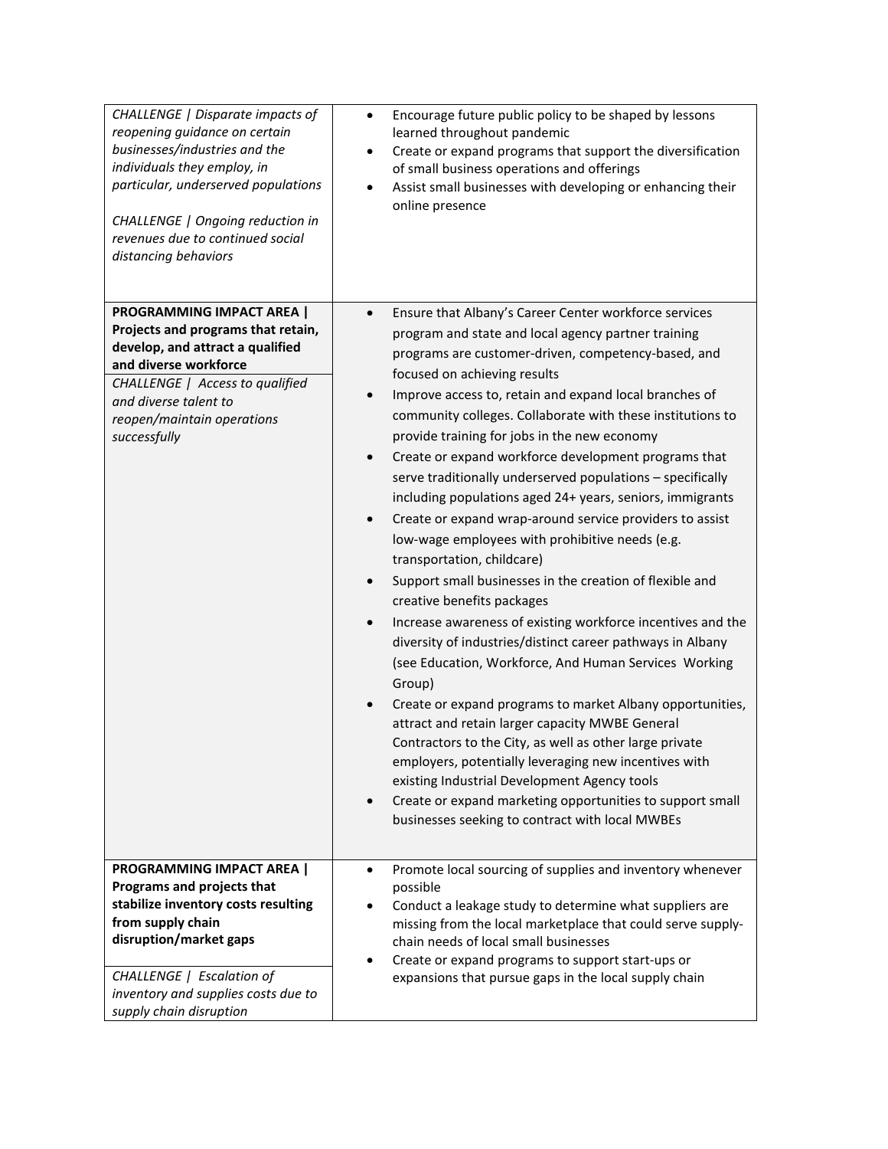| CHALLENGE   Disparate impacts of<br>reopening guidance on certain<br>businesses/industries and the<br>individuals they employ, in<br>particular, underserved populations<br>CHALLENGE   Ongoing reduction in<br>revenues due to continued social<br>distancing behaviors | Encourage future public policy to be shaped by lessons<br>$\bullet$<br>learned throughout pandemic<br>Create or expand programs that support the diversification<br>$\bullet$<br>of small business operations and offerings<br>Assist small businesses with developing or enhancing their<br>$\bullet$<br>online presence                                                                                                                                                                                                                                                                                                                                                                                                                                                                                                                                                                                                                                                                                                                                                                                                                                                                                                                                                                                                                                                                                                                                                                                         |
|--------------------------------------------------------------------------------------------------------------------------------------------------------------------------------------------------------------------------------------------------------------------------|-------------------------------------------------------------------------------------------------------------------------------------------------------------------------------------------------------------------------------------------------------------------------------------------------------------------------------------------------------------------------------------------------------------------------------------------------------------------------------------------------------------------------------------------------------------------------------------------------------------------------------------------------------------------------------------------------------------------------------------------------------------------------------------------------------------------------------------------------------------------------------------------------------------------------------------------------------------------------------------------------------------------------------------------------------------------------------------------------------------------------------------------------------------------------------------------------------------------------------------------------------------------------------------------------------------------------------------------------------------------------------------------------------------------------------------------------------------------------------------------------------------------|
| <b>PROGRAMMING IMPACT AREA  </b><br>Projects and programs that retain,<br>develop, and attract a qualified<br>and diverse workforce<br>CHALLENGE   Access to qualified<br>and diverse talent to<br>reopen/maintain operations<br>successfully                            | Ensure that Albany's Career Center workforce services<br>$\bullet$<br>program and state and local agency partner training<br>programs are customer-driven, competency-based, and<br>focused on achieving results<br>Improve access to, retain and expand local branches of<br>$\bullet$<br>community colleges. Collaborate with these institutions to<br>provide training for jobs in the new economy<br>Create or expand workforce development programs that<br>$\bullet$<br>serve traditionally underserved populations - specifically<br>including populations aged 24+ years, seniors, immigrants<br>Create or expand wrap-around service providers to assist<br>$\bullet$<br>low-wage employees with prohibitive needs (e.g.<br>transportation, childcare)<br>Support small businesses in the creation of flexible and<br>$\bullet$<br>creative benefits packages<br>Increase awareness of existing workforce incentives and the<br>$\bullet$<br>diversity of industries/distinct career pathways in Albany<br>(see Education, Workforce, And Human Services Working<br>Group)<br>Create or expand programs to market Albany opportunities,<br>$\bullet$<br>attract and retain larger capacity MWBE General<br>Contractors to the City, as well as other large private<br>employers, potentially leveraging new incentives with<br>existing Industrial Development Agency tools<br>Create or expand marketing opportunities to support small<br>$\bullet$<br>businesses seeking to contract with local MWBEs |
| <b>PROGRAMMING IMPACT AREA  </b><br>Programs and projects that<br>stabilize inventory costs resulting<br>from supply chain<br>disruption/market gaps<br>CHALLENGE   Escalation of<br>inventory and supplies costs due to<br>supply chain disruption                      | Promote local sourcing of supplies and inventory whenever<br>$\bullet$<br>possible<br>Conduct a leakage study to determine what suppliers are<br>$\bullet$<br>missing from the local marketplace that could serve supply-<br>chain needs of local small businesses<br>Create or expand programs to support start-ups or<br>expansions that pursue gaps in the local supply chain                                                                                                                                                                                                                                                                                                                                                                                                                                                                                                                                                                                                                                                                                                                                                                                                                                                                                                                                                                                                                                                                                                                                  |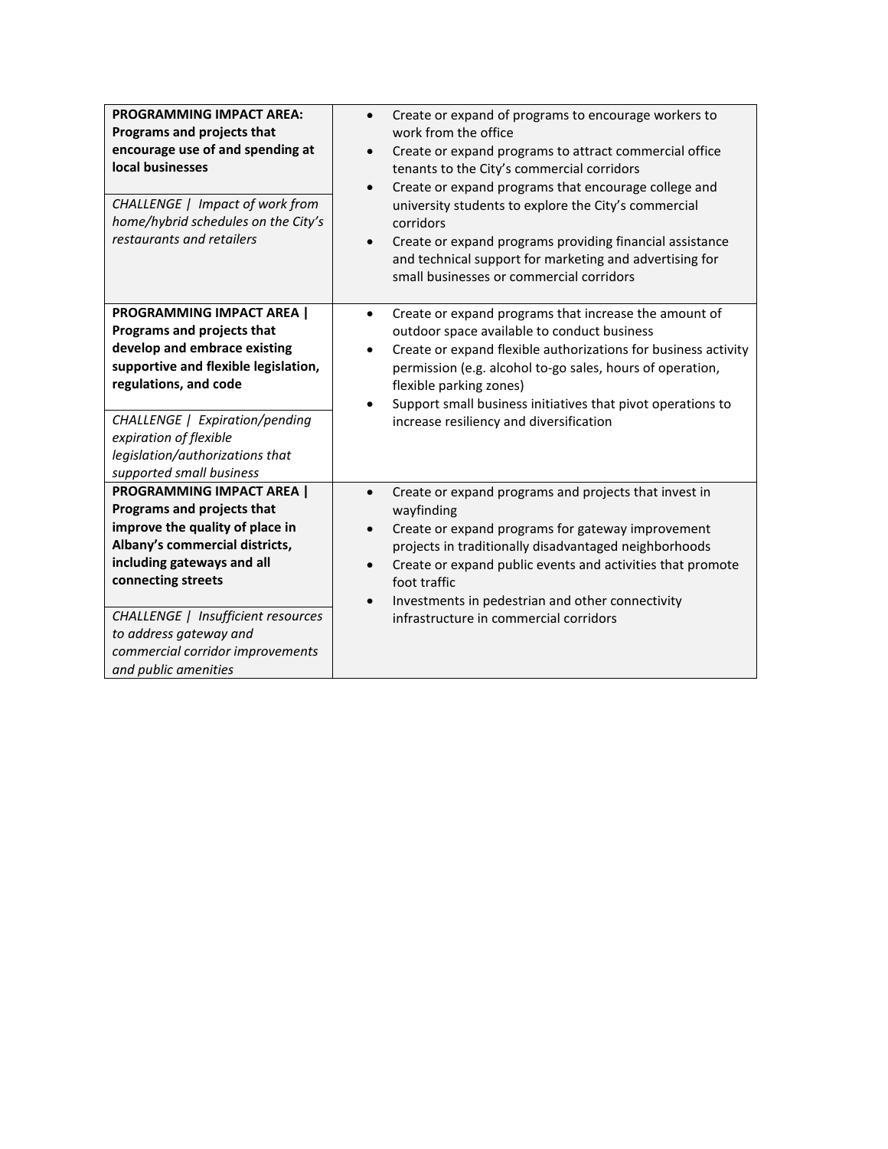| <b>PROGRAMMING IMPACT AREA:</b><br>Programs and projects that<br>encourage use of and spending at<br>local businesses<br>CHALLENGE   Impact of work from<br>home/hybrid schedules on the City's<br>restaurants and retailers                                                                                        | Create or expand of programs to encourage workers to<br>$\bullet$<br>work from the office<br>Create or expand programs to attract commercial office<br>$\bullet$<br>tenants to the City's commercial corridors<br>Create or expand programs that encourage college and<br>$\bullet$<br>university students to explore the City's commercial<br>corridors<br>Create or expand programs providing financial assistance<br>$\bullet$<br>and technical support for marketing and advertising for<br>small businesses or commercial corridors |
|---------------------------------------------------------------------------------------------------------------------------------------------------------------------------------------------------------------------------------------------------------------------------------------------------------------------|------------------------------------------------------------------------------------------------------------------------------------------------------------------------------------------------------------------------------------------------------------------------------------------------------------------------------------------------------------------------------------------------------------------------------------------------------------------------------------------------------------------------------------------|
| <b>PROGRAMMING IMPACT AREA  </b><br>Programs and projects that<br>develop and embrace existing<br>supportive and flexible legislation,<br>regulations, and code<br>CHALLENGE   Expiration/pending<br>expiration of flexible<br>legislation/authorizations that<br>supported small business                          | Create or expand programs that increase the amount of<br>$\bullet$<br>outdoor space available to conduct business<br>Create or expand flexible authorizations for business activity<br>$\bullet$<br>permission (e.g. alcohol to-go sales, hours of operation,<br>flexible parking zones)<br>Support small business initiatives that pivot operations to<br>increase resiliency and diversification                                                                                                                                       |
| <b>PROGRAMMING IMPACT AREA  </b><br>Programs and projects that<br>improve the quality of place in<br>Albany's commercial districts,<br>including gateways and all<br>connecting streets<br>CHALLENGE   Insufficient resources<br>to address gateway and<br>commercial corridor improvements<br>and public amenities | Create or expand programs and projects that invest in<br>$\bullet$<br>wayfinding<br>Create or expand programs for gateway improvement<br>$\bullet$<br>projects in traditionally disadvantaged neighborhoods<br>Create or expand public events and activities that promote<br>foot traffic<br>Investments in pedestrian and other connectivity<br>$\bullet$<br>infrastructure in commercial corridors                                                                                                                                     |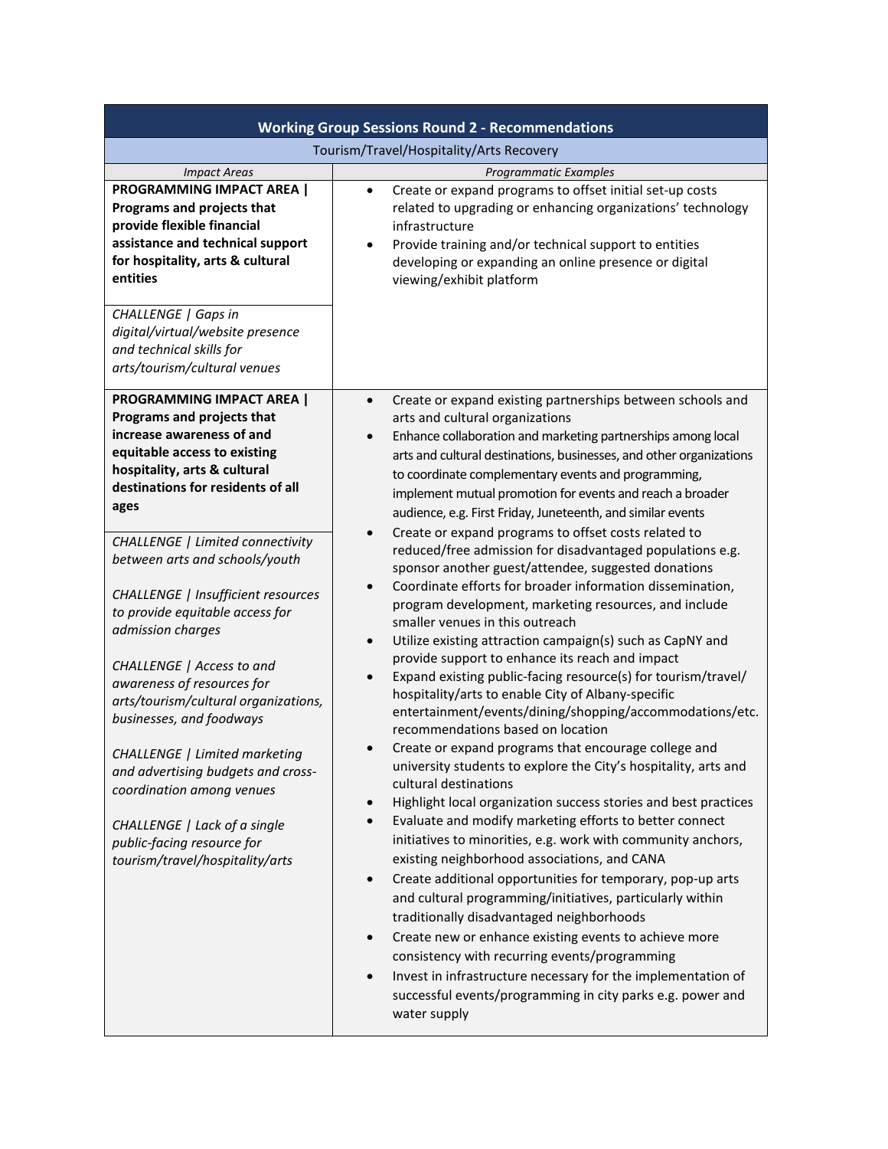| <b>Working Group Sessions Round 2 - Recommendations</b>                                                                                                                                                                                                                                                                                                                                                                                                                                                     |                                                                                                                                                                                                                                                                                                                                                                                                                                                                                                                                                                                                                                                                                                                                                                                                                                                                                                                                                                                                                                                                                                                                                                                                                                                                                                                                                                                                                                                                                                                                                                                                                                               |  |
|-------------------------------------------------------------------------------------------------------------------------------------------------------------------------------------------------------------------------------------------------------------------------------------------------------------------------------------------------------------------------------------------------------------------------------------------------------------------------------------------------------------|-----------------------------------------------------------------------------------------------------------------------------------------------------------------------------------------------------------------------------------------------------------------------------------------------------------------------------------------------------------------------------------------------------------------------------------------------------------------------------------------------------------------------------------------------------------------------------------------------------------------------------------------------------------------------------------------------------------------------------------------------------------------------------------------------------------------------------------------------------------------------------------------------------------------------------------------------------------------------------------------------------------------------------------------------------------------------------------------------------------------------------------------------------------------------------------------------------------------------------------------------------------------------------------------------------------------------------------------------------------------------------------------------------------------------------------------------------------------------------------------------------------------------------------------------------------------------------------------------------------------------------------------------|--|
| Tourism/Travel/Hospitality/Arts Recovery                                                                                                                                                                                                                                                                                                                                                                                                                                                                    |                                                                                                                                                                                                                                                                                                                                                                                                                                                                                                                                                                                                                                                                                                                                                                                                                                                                                                                                                                                                                                                                                                                                                                                                                                                                                                                                                                                                                                                                                                                                                                                                                                               |  |
| <b>Impact Areas</b><br><b>PROGRAMMING IMPACT AREA  </b><br>Programs and projects that<br>provide flexible financial<br>assistance and technical support<br>for hospitality, arts & cultural<br>entities                                                                                                                                                                                                                                                                                                     | Programmatic Examples<br>Create or expand programs to offset initial set-up costs<br>$\bullet$<br>related to upgrading or enhancing organizations' technology<br>infrastructure<br>Provide training and/or technical support to entities<br>$\bullet$<br>developing or expanding an online presence or digital<br>viewing/exhibit platform                                                                                                                                                                                                                                                                                                                                                                                                                                                                                                                                                                                                                                                                                                                                                                                                                                                                                                                                                                                                                                                                                                                                                                                                                                                                                                    |  |
| CHALLENGE   Gaps in<br>digital/virtual/website presence<br>and technical skills for<br>arts/tourism/cultural venues                                                                                                                                                                                                                                                                                                                                                                                         |                                                                                                                                                                                                                                                                                                                                                                                                                                                                                                                                                                                                                                                                                                                                                                                                                                                                                                                                                                                                                                                                                                                                                                                                                                                                                                                                                                                                                                                                                                                                                                                                                                               |  |
| <b>PROGRAMMING IMPACT AREA  </b><br>Programs and projects that<br>increase awareness of and<br>equitable access to existing<br>hospitality, arts & cultural<br>destinations for residents of all<br>ages                                                                                                                                                                                                                                                                                                    | Create or expand existing partnerships between schools and<br>$\bullet$<br>arts and cultural organizations<br>Enhance collaboration and marketing partnerships among local<br>$\bullet$<br>arts and cultural destinations, businesses, and other organizations<br>to coordinate complementary events and programming,<br>implement mutual promotion for events and reach a broader<br>audience, e.g. First Friday, Juneteenth, and similar events                                                                                                                                                                                                                                                                                                                                                                                                                                                                                                                                                                                                                                                                                                                                                                                                                                                                                                                                                                                                                                                                                                                                                                                             |  |
| CHALLENGE   Limited connectivity<br>between arts and schools/youth<br>CHALLENGE   Insufficient resources<br>to provide equitable access for<br>admission charges<br>CHALLENGE   Access to and<br>awareness of resources for<br>arts/tourism/cultural organizations,<br>businesses, and foodways<br><b>CHALLENGE</b>   Limited marketing<br>and advertising budgets and cross-<br>coordination among venues<br>CHALLENGE   Lack of a single<br>public-facing resource for<br>tourism/travel/hospitality/arts | Create or expand programs to offset costs related to<br>$\bullet$<br>reduced/free admission for disadvantaged populations e.g.<br>sponsor another guest/attendee, suggested donations<br>Coordinate efforts for broader information dissemination,<br>$\bullet$<br>program development, marketing resources, and include<br>smaller venues in this outreach<br>Utilize existing attraction campaign(s) such as CapNY and<br>$\bullet$<br>provide support to enhance its reach and impact<br>Expand existing public-facing resource(s) for tourism/travel/<br>$\bullet$<br>hospitality/arts to enable City of Albany-specific<br>entertainment/events/dining/shopping/accommodations/etc.<br>recommendations based on location<br>Create or expand programs that encourage college and<br>$\bullet$<br>university students to explore the City's hospitality, arts and<br>cultural destinations<br>Highlight local organization success stories and best practices<br>$\bullet$<br>Evaluate and modify marketing efforts to better connect<br>$\bullet$<br>initiatives to minorities, e.g. work with community anchors,<br>existing neighborhood associations, and CANA<br>Create additional opportunities for temporary, pop-up arts<br>$\bullet$<br>and cultural programming/initiatives, particularly within<br>traditionally disadvantaged neighborhoods<br>Create new or enhance existing events to achieve more<br>$\bullet$<br>consistency with recurring events/programming<br>Invest in infrastructure necessary for the implementation of<br>$\bullet$<br>successful events/programming in city parks e.g. power and<br>water supply |  |